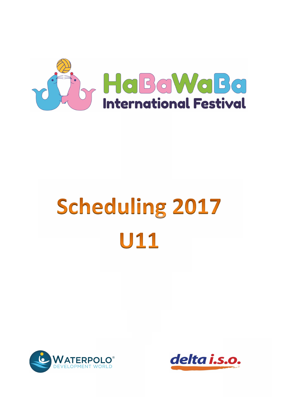

# Scheduling 2017 U11



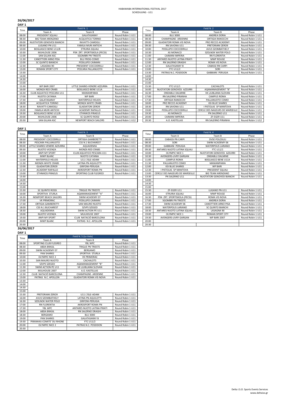# **DAY 1**

# **DAY 1 26/06/2017**

| Time  | Field N. 1                        |                              |                   | Time  | Field N. 2                      |                                        |                   |
|-------|-----------------------------------|------------------------------|-------------------|-------|---------------------------------|----------------------------------------|-------------------|
|       | Team A                            | Team B                       | Phase             |       | Team A                          | Team B                                 | Phase             |
| 08:00 | <b>PRESIDENT SQUALI</b>           | GALATASARAY                  | Round Robin 1 U11 | 08:00 | <b>BLU 3000</b>                 | <b>ANDREA DORIA</b>                    | Round Robin 1 U11 |
| 08:30 | <b>BIG TEAM ARENZANO</b>          | <b>ACQUATICA TORINO</b>      | Round Robin 1 U11 | 08:30 | <b>CHAMPAGNE- ARDENNE</b>       | <b>ORTIGIA RANOCCHI</b>                | Round Robin 1 U11 |
| 09:00 | <b>NUOTATORI GENOVESI BIANCHI</b> | RAVATTI-CAMOGLI              | Round Robin 1 U11 | 09:00 | <b>GLADIATORI ROMA VIS NOVA</b> | PRO RECCO ACADEMY                      | Round Robin 1 U11 |
| 09:30 | LUGANO PN U11                     | <b>FAMILA MURI ANTICHI</b>   | Round Robin 1 U11 | 09:30 | RN SAVONA U11                   | <b>PRETORIANI ZERO9</b>                | Round Robin 1 U11 |
| 10:00 | <b>BOGLIASCO BENE U11/B</b>       | <b>ETRURIA SQUALI</b>        | Round Robin 1 U11 | 10:00 | POSILLIPO COCCODRILLI           | <b>AVUS SZOMBATHELY</b>                | Round Robin 1 U11 |
| 10:30 | MUHLOUSE 2006                     | PSN ZRT. SPORTISKOLA (PECSI) | Round Robin 1 U11 | 10:30 | AS MONACO                       | <b>SZOLNOK WATER POLO</b>              | Round Robin 1 U11 |
| 11:00 | <b>SAN GILIAN ASC</b>             | <b>SGOMBRI PN TRIESTE</b>    | Round Robin 1 U11 | 11:00 | <b>CAIMANI IMPERIA</b>          | <b>RN FLORENTIA</b>                    | Round Robin 1 U11 |
| 11:30 | <b>CANOTTIERI ARNO PISA</b>       | <b>BLU FROG-COMO</b>         | Round Robin 1 U11 | 11:30 | ANTARES NUOTO LATINA PIRATI     | <b>MWP ROUGE</b>                       | Round Robin 1 U11 |
| 12:00 | <b>SC QUINTO BIANCHI</b>          | POSILLIPO CAIMANI            | Round Robin 1 U11 | 12:00 | <b>RN SALERNO DRAGHI</b>        | <b>ROMA VIS NOVA</b>                   | Round Robin 1 U11 |
| 12:30 | LASAGNA 90                        | PRESIDENT COCCODRILLI        | Round Robin 1 U11 | 12:30 | <b>GALATASARAY B</b>            | <b>CABASSI RN CARPI</b>                | Round Robin 1 U11 |
| 13:00 | <b>ROMAN SPORT CITY</b>           | PESCARA PALLANUOTO           | Round Robin 1 U11 | 13:00 | <b>FTC U11/2</b>                | SORI                                   | Round Robin 1 U11 |
| 13:30 |                                   |                              |                   | 13:30 | PATRAS N.C. POSEIDON            | <b>GABBIANI PERUGIA</b>                | Round Robin 1 U11 |
| 14:00 |                                   |                              |                   | 14:00 |                                 |                                        |                   |
| 14:30 |                                   |                              |                   | 14:30 |                                 |                                        |                   |
| 15:00 |                                   |                              |                   | 15:00 |                                 |                                        |                   |
| 15:30 | <b>WP BARI 2007</b>               | LITTLE SHARKS-VENERE AZZURRA | Round Robin 1 U11 | 15:30 | <b>FTC U11/1</b>                | <b>CACHALOTS</b>                       | Round Robin 1 U11 |
| 16:00 | <b>MONZA RED CRABS</b>            | <b>BOGLIASCO BENE U11A</b>   | Round Robin 1 U11 | 16:00 | NUOTATORI GENOVESI AZZURRI      | AQAMANAGEMENT "B"                      | Round Robin 1 U11 |
| 16:30 | CLUB AQUATICO PESCARA U11         | <b>MANIANPAMA</b>            | Round Robin 1 U11 | 16:30 | <b>ONDABLU DALMINE</b>          | VK LJUBLJANA SLOVAN                    | Round Robin 1 U11 |
| 17:00 | <b>NUOTO CATANIA</b>              | <b>WP BARI</b>               | Round Robin 1 U11 | 17:00 | <b>RN SALERNO PIRANHA</b>       | <b>CAMPUS ROMA</b>                     | Round Robin 1 U11 |
| 17:30 | GALATASARAY                       | <b>WATERPOLO HELIOS</b>      | Round Robin 1 U11 | 17:30 | ORTIGIA RANOCCHI                | PALLANUOTO COMO                        | Round Robin 1 U11 |
| 18:00 | <b>ACQUATICA TORINO</b>           | <b>MONZA WHITE CRABS</b>     | Round Robin 1 U11 | 18:00 | PRO RECCO ACADEMY               | <b>KSI BLUE SHARKS</b>                 | Round Robin 1 U11 |
| 18:30 | RAVATTI-CAMOGLI                   | <b>GLADIATORI ZERO9</b>      | Round Robin 1 U11 | 18:30 | RN SAVONA U11                   | <b>I PISTOLAS SP MANTOVA</b>           | Round Robin 1 U11 |
| 19:00 | <b>FAMILA MURI ANTICHI</b>        | <b>ACADEMY RAPALLO</b>       | Round Robin 1 U11 | 19:00 | POSILLIPO COCCODRILLI           | <b>CERCLE DES NAGEURS DE MARSEILLE</b> | Round Robin 1 U11 |
| 19:30 | <b>BOGLIASCO BENE U11/B</b>       | <b>ETHNIKOS PIRAEUS</b>      | Round Robin 1 U11 | 19:30 | AS MONACO                       | PN SALERNO U11                         | Round Robin 1 U11 |
| 20:00 | MUHLOUSE 2006                     | <b>SC QUINTO ROSSI</b>       | Round Robin 1 U11 | 20:00 | <b>CAIMANI IMPERIA</b>          | ZF-EGER U11                            | Round Robin 1 U11 |
| 20:30 | SAN GILJAN ASC                    | <b>NEWPORT BEACH SAILORS</b> | Round Robin 1 U12 | 20:30 | A.O. KASTELLAS                  | <b>RN SALERNO PIRANHA</b>              | Round Robin 1 U12 |

| Time  | Field N. 1                        |                              |                   |  |  |  |  |  |  |
|-------|-----------------------------------|------------------------------|-------------------|--|--|--|--|--|--|
|       | Team A                            | Team B                       | Phase             |  |  |  |  |  |  |
| 08:00 | PRESIDENT SQUALI                  | GALATASARAY                  | Round Robin 1 U11 |  |  |  |  |  |  |
| 08:30 | <b>BIG TEAM ARENZANO</b>          | <b>ACQUATICA TORINO</b>      | Round Robin 1 U11 |  |  |  |  |  |  |
| 09:00 | <b>NUOTATORI GENOVESI BIANCHI</b> | RAVATTI-CAMOGLI              | Round Robin 1 U11 |  |  |  |  |  |  |
| 09:30 | LUGANO PN U11                     | <b>FAMILA MURI ANTICHI</b>   | Round Robin 1 U11 |  |  |  |  |  |  |
| 10:00 | <b>BOGLIASCO BENE U11/B</b>       | ETRURIA SQUALI               | Round Robin 1 U11 |  |  |  |  |  |  |
| 10:30 | MUHLOUSE 2006                     | PSN ZRT. SPORTISKOLA (PECSI) | Round Robin 1 U11 |  |  |  |  |  |  |
| 11:00 | SAN GILJAN ASC                    | <b>SGOMBRI PN TRIESTE</b>    | Round Robin 1 U11 |  |  |  |  |  |  |
| 11:30 | CANOTTIERI ARNO PISA              | <b>BLU FROG-COMO</b>         | Round Robin 1 U11 |  |  |  |  |  |  |
| 12:00 | <b>SC QUINTO BIANCHI</b>          | POSILLIPO CAIMANI            | Round Robin 1 U11 |  |  |  |  |  |  |
| 12:30 | LASAGNA 90                        | PRESIDENT COCCODRILLI        | Round Robin 1 U11 |  |  |  |  |  |  |
| 13:00 | <b>ROMAN SPORT CITY</b>           | PESCARA PALLANUOTO           | Round Robin 1 U11 |  |  |  |  |  |  |
| 13:30 |                                   |                              |                   |  |  |  |  |  |  |
| 14:00 |                                   |                              |                   |  |  |  |  |  |  |
| 14:30 |                                   |                              |                   |  |  |  |  |  |  |
| 15:00 |                                   |                              |                   |  |  |  |  |  |  |
| 15:30 | <b>WP BARI 2007</b>               | LITTLE SHARKS-VENERE AZZURRA | Round Robin 1 U11 |  |  |  |  |  |  |
| 16:00 | <b>MONZA RED CRABS</b>            | <b>BOGLIASCO BENE U11A</b>   | Round Robin 1 U11 |  |  |  |  |  |  |
| 16:30 | <b>CLUB AQUATICO PESCARA U11</b>  | <b>MANIANPAMA</b>            | Round Robin 1 U11 |  |  |  |  |  |  |
| 17:00 | NUOTO CATANIA                     | <b>WP BARI</b>               | Round Robin 1 U11 |  |  |  |  |  |  |
| 17:30 | GALATASARAY                       | <b>WATERPOLO HELIOS</b>      | Round Robin 1 U11 |  |  |  |  |  |  |
| 18:00 | <b>ACQUATICA TORINO</b>           | <b>MONZA WHITE CRABS</b>     | Round Robin 1 U11 |  |  |  |  |  |  |
| 18:30 | RAVATTI-CAMOGLI                   | <b>GLADIATORI ZERO9</b>      | Round Robin 1 U11 |  |  |  |  |  |  |
| 19:00 | <b>FAMILA MURI ANTICHI</b>        | <b>ACADEMY RAPALLO</b>       | Round Robin 1 U11 |  |  |  |  |  |  |
| 19:30 | <b>BOGLIASCO BENE U11/B</b>       | <b>ETHNIKOS PIRAEUS</b>      | Round Robin 1 U11 |  |  |  |  |  |  |
| 20:00 | MUHLOUSE 2006                     | SC QUINTO ROSSI              | Round Robin 1 U11 |  |  |  |  |  |  |
| 20:30 | SAN GILJAN ASC                    | <b>NEWPORT BEACH SAILORS</b> | Round Robin 1 U12 |  |  |  |  |  |  |

| Time  |                              | Field N. 3                |                   | Time  | Field N.4                              |                             |                   |
|-------|------------------------------|---------------------------|-------------------|-------|----------------------------------------|-----------------------------|-------------------|
|       | Team A                       | Team B                    | Phase             |       | Team A                                 | Team B                      | Phase             |
| 08:00 | PRESIDENT COCCODRILLI        | <b>ORTIGIA GAMBERETTI</b> | Round Robin 1 U11 | 08:00 | <b>CABASSI PN CARPI</b>                | <b>DVSE POLOSULI</b>        | Round Robin 1 U11 |
| 08:30 | PESCARA PALLANUOTO           | <b>CSS N.1 BUCHAREST</b>  | Round Robin 1 U11 | 08:30 | SORI                                   | SWIM ACADEMY 06             | Round Robin 1 U11 |
| 09:00 | LITTLE SHARKS-VENERE AZZURRA | <b>AQUADEMIA</b>          | Round Robin 1 U11 | 09:00 | <b>GABBIANI PERUGIA</b>                | <b>WATERPOLIS LARIANO</b>   | Round Robin 1 U11 |
| 09:30 | NUOTO VICENZA                | <b>MONZA RED CRABS</b>    | Round Robin 1 U11 | 09:30 | ANTARES NUOTO LATINA SQUALI            | <b>FTC U11/1</b>            | Round Robin 1 U11 |
| 10:00 | <b>ANPI MY SPORT</b>         | CLUB AQUATICO PESCARA U11 | Round Robin 1 U11 | 10:00 | <b>OLYMPIC NICE 1</b>                  | NUOTATORI GENOVESI AZZURRI  | Round Robin 1 U11 |
| 10:30 | <b>MWP BLANC</b>             | <b>NUOTO CATANIA</b>      | Round Robin 1 U11 | 10:30 | AVENGERS-LIVRY GARGAN                  | <b>ONDABLU DALMINE</b>      | Round Robin 1 U11 |
| 11:00 | <b>WATERPOLO HELIOS</b>      | U11 L'ISLE-ADAM           | Round Robin 1 U11 | 11:00 | <b>CAMPUS ROMA</b>                     | <b>BOGLIASCO BENE U11A</b>  | Round Robin 1 U11 |
| 11:30 | <b>MONZA WHITE CRABS</b>     | LATINA PN AQUILOTTI       | Round Robin 1 U11 | 11:30 | PALLANUOTO COMO                        | <b>MANIANPAMA</b>           | Round Robin 1 U11 |
| 12:00 | <b>GLADIATORI ZERO9</b>      | <b>GRIFONI-PERUGIA</b>    | Round Robin 1 U11 | 12:00 | <b>KSI BLUE SHARKS</b>                 | <b>WP BARI</b>              | Round Robin 1 U11 |
| 12:30 | <b>ACADEMY RAPALLO</b>       | AKROSPORT ROMA PN         | Round Robin 1 U11 | 12:30 | I PISTOLAS SP MANTOVA                  | PRESIDENT SQUALI            | Round Robin 1 U11 |
| 13:00 | <b>ETHNIKOS PIRAEUS</b>      | SPORTING CLUB FLEGREO     | Round Robin 1 U11 | 13:00 | <b>CERCLE DES NAGEURS DE MARSEILLE</b> | <b>BIG TEAM ARENZANO</b>    | Round Robin 1 U11 |
| 13:30 |                              |                           |                   | 13:30 | PN SALERNO U11                         | NUOTATORI GENOVESI BIANCHI  | Round Robin 1 U11 |
| 14:00 |                              |                           |                   | 14:00 |                                        |                             |                   |
| 14:30 |                              |                           |                   | 14:30 |                                        |                             |                   |
| 15:00 |                              |                           |                   | 15:00 |                                        |                             |                   |
| 15:30 | <b>SC QUINTO ROSSI</b>       | <b>TRIGLIE PN TRIESTE</b> | Round Robin 1 U11 | 15:30 | ZF-EGER U11                            | LUGANO PN U11               | Round Robin 1 U11 |
| 16:00 | SPORTIVA STURLA              | AQAMANAGEMENT "A"         | Round Robin 1 U11 | 16:00 | <b>ETRURIA SQUALI</b>                  | <b>MWP ROUGE</b>            | Round Robin 1 U11 |
| 16:30 | <b>NEWPORT BEACH SAILORS</b> | SWIM ACADEMY 07           | Round Robin 1 U11 | 16:30 | PSN ZRT. SPORTISKOLA (PECSI)           | ROMA VIS NOVA               | Round Robin 1 U11 |
| 17:00 | <b>VK PRIMORAC</b>           | POSILLIPO CAIMANI         | Round Robin 1 U11 | 17:00 | <b>SGOMBRI PN TRIESTE</b>              | <b>ANDREA DORIA</b>         | Round Robin 1 U11 |
| 17:30 | ORTIGIA GAMBERETTI           | <b>SAN MAURO NUOTO</b>    | Round Robin 1 U11 | 17:30 | SWIM ACADEMY 06                        | <b>CANOTTIERI ARNO PISA</b> | Round Robin 1 U11 |
| 18:00 | <b>CSS N.1 BUCHAREST</b>     | <b>SZVPS SZEGED</b>       | Round Robin 1 U11 | 18:00 | <b>WATERPOLIS LARIANO</b>              | <b>SC QUINTO BIANCHI</b>    | Round Robin 1 U11 |
| 18:30 | <b>AQUADEMIA</b>             | SWIM ACTION PE U11        | Round Robin 1 U11 | 18:30 | ANTARES NUOTO LATINA SQUALI            | LASAGNA 90                  | Round Robin 1 U11 |
| 19:00 | <b>NUOTO VICENZA</b>         | MULHOUSE 2007             | Round Robin 1 U11 | 19:00 | <b>OLYMPIC NICE 1</b>                  | <b>ROMAN SPORT CITY</b>     | Round Robin 1 U11 |
| 19:30 | <b>ANPI MY SPORT</b>         | CLUB NATACIÓ BARCELONA    | Round Robin 1 U11 | 19:30 | AVENGERS-LIVRY GARGAN                  | <b>WP BARI 2007</b>         | Round Robin 1 U11 |
| 20:00 | <b>MWP BLANC</b>             | PATRAS N.C. APOLLON       | Round Robin 1 U11 | 20:00 |                                        |                             |                   |
| 20:30 |                              |                           |                   | 20:30 |                                        |                             |                   |

| DAY |  |
|-----|--|
|-----|--|

| Time  | Field N. 3                   |                           |                   |       |  |  |  |  |  |
|-------|------------------------------|---------------------------|-------------------|-------|--|--|--|--|--|
|       | Team A                       | Team B                    | Phase             | Time  |  |  |  |  |  |
| 08:00 | PRESIDENT COCCODRILLI        | <b>ORTIGIA GAMBERETTI</b> | Round Robin 1 U11 | 08:00 |  |  |  |  |  |
| 08:30 | PESCARA PALLANUOTO           | <b>CSS N.1 BUCHAREST</b>  | Round Robin 1 U11 | 08:30 |  |  |  |  |  |
| 09:00 | LITTLE SHARKS-VENERE AZZURRA | <b>AQUADEMIA</b>          | Round Robin 1 U11 | 09:00 |  |  |  |  |  |
| 09:30 | <b>NUOTO VICENZA</b>         | <b>MONZA RED CRABS</b>    | Round Robin 1 U11 | 09:30 |  |  |  |  |  |
| 10:00 | ANPI MY SPORT                | CLUB AQUATICO PESCARA U11 | Round Robin 1 U11 | 10:00 |  |  |  |  |  |
| 10:30 | <b>MWP BLANC</b>             | <b>NUOTO CATANIA</b>      | Round Robin 1 U11 | 10:30 |  |  |  |  |  |
| 11:00 | <b>WATERPOLO HELIOS</b>      | U11 L'ISLE-ADAM           | Round Robin 1 U11 | 11:00 |  |  |  |  |  |
| 11:30 | <b>MONZA WHITE CRABS</b>     | LATINA PN AQUILOTTI       | Round Robin 1 U11 | 11:30 |  |  |  |  |  |
| 12:00 | <b>GLADIATORI ZERO9</b>      | <b>GRIFONI-PERUGIA</b>    | Round Robin 1 U11 | 12:00 |  |  |  |  |  |
| 12:30 | <b>ACADEMY RAPALLO</b>       | AKROSPORT ROMA PN         | Round Robin 1 U11 | 12:30 |  |  |  |  |  |
| 13:00 | <b>ETHNIKOS PIRAEUS</b>      | SPORTING CLUB FLEGREO     | Round Robin 1 U11 | 13:00 |  |  |  |  |  |
| 13:30 |                              |                           |                   | 13:30 |  |  |  |  |  |
| 14:00 |                              |                           |                   | 14:00 |  |  |  |  |  |
| 14:30 |                              |                           |                   | 14:30 |  |  |  |  |  |
| 15:00 |                              |                           |                   | 15:00 |  |  |  |  |  |
| 15:30 | SC QUINTO ROSSI              | TRIGLIE PN TRIESTE        | Round Robin 1 U11 | 15:30 |  |  |  |  |  |
| 16:00 | SPORTIVA STURLA              | AQAMANAGEMENT "A"         | Round Robin 1 U11 | 16:00 |  |  |  |  |  |
| 16:30 | <b>NEWPORT BEACH SAILORS</b> | SWIM ACADEMY 07           | Round Robin 1 U11 | 16:30 |  |  |  |  |  |
| 17:00 | <b>VK PRIMORAC</b>           | POSILLIPO CAIMANI         | Round Robin 1 U11 | 17:00 |  |  |  |  |  |
| 17:30 | ORTIGIA GAMBERETTI           | SAN MAURO NUOTO           | Round Robin 1 U11 | 17:30 |  |  |  |  |  |
| 18:00 | <b>CSS N.1 BUCHAREST</b>     | <b>SZVPS SZEGED</b>       | Round Robin 1 U11 | 18:00 |  |  |  |  |  |
| 18:30 | <b>AQUADEMIA</b>             | SWIM ACTION PE U11        | Round Robin 1 U11 | 18:30 |  |  |  |  |  |
| 19:00 | <b>NUOTO VICENZA</b>         | MULHOUSE 2007             | Round Robin 1 U11 | 19:00 |  |  |  |  |  |
| 19:30 | ANPI MY SPORT                | CLUB NATACIÓ BARCELONA    | Round Robin 1 U11 | 19:30 |  |  |  |  |  |
| 20:00 | <b>MWP BLANC</b>             | PATRAS N.C. APOLLON       | Round Robin 1 U11 | 20:00 |  |  |  |  |  |
| 20:30 |                              |                           |                   | 20:30 |  |  |  |  |  |

| DAY 1 |                           |                                 |                   |
|-------|---------------------------|---------------------------------|-------------------|
| Time  |                           | Field N. 5 (Le Vele)            |                   |
|       | Team A                    | Team B                          | Phase             |
| 08:00 | SPORTING CLUB FLEGREO     | YBL WPC                         | Round Robin 1 U11 |
| 08:30 | <b>ABDA BRASIL</b>        | <b>TRIGLIE PN TRIESTE</b>       | Round Robin 1 U11 |
| 09:00 | SWIM ACADEMY 07           | <b>BERGAMO</b>                  | Round Robin 1 U11 |
| 09:30 | <b>PAN SHARKS</b>         | SPORTIVA STURLA                 | Round Robin 1 U11 |
| 10:00 | <b>OLYMPIC NICE 2</b>     | <b>VK PRIMORAC</b>              | Round Robin 1 U11 |
| 10:30 | SAN MAURO NUOTO           | <b>CACHALOTS</b>                | Round Robin 1 U11 |
| 11:00 | <b>SZVPS SZEGED</b>       | AQAMANAGEMENT "B"               | Round Robin 1 U11 |
| 11:30 | SWIM ACTION PE U11        | VK LIUBLIANA SLOVAN             | Round Robin 1 U11 |
| 12:00 | MULHOUSE 2007             | A.O. KASTELLAS                  | Round Robin 1 U11 |
| 12:30 | CLUB NATACIÓ BARCELONA    | <b>CHAMPAGNE- ARDENNE</b>       | Round Robin 1 U11 |
| 13:00 | PATRAS N.C. APOLLON       | <b>GLADIATORI ROMA VIS NOVA</b> | Round Robin 1 U11 |
| 13:30 |                           |                                 |                   |
| 14:00 |                           |                                 |                   |
| 14:30 |                           |                                 |                   |
| 15:00 |                           |                                 |                   |
| 15:30 | PRETORIANI ZERO9          | U11 L'ISLE-ADAM                 | Round Robin 1 U11 |
| 16:00 | <b>AVUS SZOMBATHELY</b>   | LATINA PN AQUILOTTI             | Round Robin 1 U11 |
| 16:30 | <b>SZOLNOK WATER POLO</b> | <b>GRIFONI-PERUGIA</b>          | Round Robin 1 U11 |
| 17:00 | <b>RN FLORENTIA</b>       | AKROSPORT ROMA PN               | Round Robin 1 U11 |
| 17:30 | YBL WPC                   | ANTARES NUOTO LATINA PIRATI     | Round Robin 1 U11 |
| 18:00 | <b>ABDA BRASIL</b>        | <b>RN SALERNO DRAGHI</b>        | Round Robin 1 U11 |
| 18:30 | <b>BERGAMO</b>            | <b>BLU 3000</b>                 | Round Robin 1 U11 |
| 19:00 | <b>PAN SHARKS</b>         | <b>GALATASARAY B</b>            | Round Robin 1 U11 |
| 19:30 | PIRANHAS-COMITE' DU RHONE | <b>FTC U11/2</b>                | Round Robin 1 U11 |
| 20:00 | <b>OLYMPIC NICE 2</b>     | PATRAS N.C. POSEIDON            | Round Robin 1 U11 |
| 20:30 |                           |                                 |                   |

# **26/06/2017**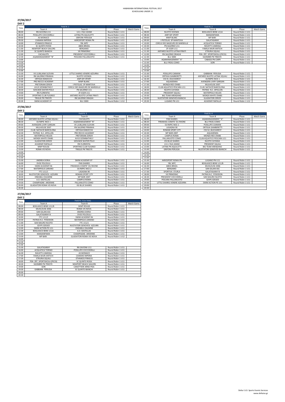| DAY <sub>2</sub> |                              |                                 |                   |            |       |                                 |                              |                   |            |
|------------------|------------------------------|---------------------------------|-------------------|------------|-------|---------------------------------|------------------------------|-------------------|------------|
| Time             |                              | Field N. 1                      |                   |            | Time  |                                 | Field N. 2                   |                   |            |
|                  | Team A                       | Team B                          | Phase             | Match Game |       | Team A                          | Team B                       | Phase             | Match Game |
| 08:00            | RN SAVONA U11                | U11 L'ISLE-ADAM                 | Round Robin 1 U11 |            | 08:00 | <b>NUOTO VICENZA</b>            | <b>BOGLIASCO BENE U11A</b>   | Round Robin 1 U11 |            |
| 08:30            | POSILLIPO COCCODRILLI        | LATINA PN AQUILOTTI             | Round Robin 1 U11 |            | 08:30 | <b>ANPI MY SPORT</b>            | <b>MANIANPAMA</b>            | Round Robin 1 U11 |            |
| 09:00            | AS MONACO                    | <b>GRIFONI-PERUGIA</b>          | Round Robin 1 U11 |            | 09:00 | <b>MWP BLANC</b>                | <b>WP BARI</b>               | Round Robin 1 U11 |            |
| 09:30            | CAIMANI IMPERIA              | AKROSPORT ROMA PN               | Round Robin 1 U11 |            | 09:30 | <b>I PISTOLAS SP MANTOVA</b>    | GALATASARAY                  | Round Robin 1 U11 |            |
| 10:00            | <b>ETHNIKOS PIRAEUS</b>      | YBL WPC                         | Round Robin 1 U11 |            | 10:00 | CERCLE DES NAGEURS DE MARSEILLE | ACQUATICA TORINO             | Round Robin 1 U11 |            |
| 10:30            | <b>SC QUINTO ROSSI</b>       | <b>ABDA BRASIL</b>              | Round Robin 1 U11 |            | 10:30 | PN SALERNO U11                  | RAVATTI-CAMOGLI              | Round Robin 1 U11 |            |
| 11:00            | <b>NEWPORT BEACH SAILORS</b> | <b>BERGAMO</b>                  | Round Robin 1 U11 |            | 11:00 | ZF-EGER U11                     | <b>FAMILA MURI ANTICHI</b>   | Round Robin 1 U11 |            |
| 11:30            | <b>SC QUINTO BIANCHI</b>     | <b>VK PRIMORAC</b>              | Round Robin 1 U11 |            | 11:30 | ANTARES NUOTO LATINA PIRATI     | <b>ETRURIA SQUALI</b>        | Round Robin 1 U11 |            |
| 12:00            | CACHALOTS                    | PRESIDENT COCCODRILLI           | Round Robin 1 U11 |            | 12:00 | <b>RN SALERNO DRAGHI</b>        | PSN ZRT. SPORTISKOLA (PECSI) | Round Robin 1 U11 |            |
| 12:30            | AQAMANAGEMENT "B"            | PESCARA PALLANUOTO              | Round Robin 1 U11 |            | 12:30 | <b>BLU 3000</b>                 | <b>SGOMBRI PN TRIESTE</b>    | Round Robin 1 U11 |            |
| 13:00            |                              |                                 |                   |            | 13:00 | AQAMANAGEMENT "A"               | <b>CABASSI PN CARPI</b>      | Round Robin 1 U11 |            |
| 13:30            |                              |                                 |                   |            | 13:30 | <b>BLU FROG-COMO</b>            | SORI                         | Round Robin 1 U11 |            |
| 14:00            |                              |                                 |                   |            | 14:00 |                                 |                              |                   |            |
| 14:30            |                              |                                 |                   |            | 14:30 |                                 |                              |                   |            |
| 15:00            |                              |                                 |                   |            | 15:00 |                                 |                              |                   |            |
| 15:30            | VK LJUBLJANA SLOVAN          | LITTLE SHARKS-VENERE AZZURRA    | Round Robin 1 U11 |            | 15:30 | POSILLIPO CAIMANI               | <b>GABBIANI PERUGIA</b>      | Round Robin 1 U11 |            |
| 16:00            | <b>RN SALERNO PIRANHA</b>    | <b>NUOTO VICENZA</b>            | Round Robin 1 U11 |            | 16:00 | <b>ORTIGIA GAMBERETTI</b>       | ANTARES NUOTO LATINA SQUALI  | Round Robin 1 U11 |            |
| 16:30            | ORTIGIA RANOCCHI             | <b>ANPI MY SPORT</b>            | Round Robin 1 U11 |            | 16:30 | <b>CSS N.1 BUCHAREST</b>        | <b>OLYMPIC NICE 1</b>        | Round Robin 1 U11 |            |
| 17:00            | PRO RECCO ACADEMY            | <b>MWP BLANC</b>                | Round Robin 1 U11 |            | 17:00 | AQUADEMIA                       | AVENGERS-LIVRY GARGAN        | Round Robin 1 U11 |            |
| 17:30            | PRETORIANI ZERO9             | <b>I PISTOLAS SP MANTOVA</b>    | Round Robin 1 U11 |            | 17:30 | <b>MONZA RED CRABS</b>          | MULHOUSE 2007                | Round Robin 1 U11 |            |
| 18:00            | AVUS SZOMBATHELY             | CERCLE DES NAGEURS DE MARSEILLE | Round Robin 1 U11 |            | 18:00 | CLUB AQUATICO PESCARA U11       | CLUB NATACIÓ BARCELONA       | Round Robin 1 U11 |            |
| 18:30            | <b>SZOLNOK WATER POLO</b>    | PN SALERNO U11                  | Round Robin 1 U11 |            | 18:30 | <b>NUOTO CATANIA</b>            | PATRAS N.C. APOLLON          | Round Robin 1 U11 |            |
| 19:00            | <b>RN FLORENTIA</b>          | ZF-EGER U11                     | Round Robin 1 U11 |            | 19:00 | <b>PRESIDENT SQUALI</b>         | <b>WATERPOLO HELIOS</b>      | Round Robin 1 U11 |            |
| 19:30            | SPORTING CLUB FLEGREO        | ANTARES NUOTO LATINA PIRATI     | Round Robin 1 U11 |            | 19:30 | <b>BIG TEAM ARENZANO</b>        | <b>MONZA WHITE CRABS</b>     | Round Robin 1 U11 |            |
| 20:00            | <b>TRIGLIE PN TRIESTE</b>    | <b>RN SALERNO DRAGHI</b>        | Round Robin 1 U11 |            | 20:00 | NUOTATORI GENOVESI BIANCHI      | <b>GLADIATORI ZERO9</b>      | Round Robin 1 U11 |            |
| 20:30            | SWIM ACADEMY 07              | <b>BLU 3000</b>                 | Round Robin 1 U12 |            | 20:30 | LUGANO PN U11                   | <b>ACADEMY RAPALLO</b>       | Round Robin 1 U12 |            |

| DAY <sub>2</sub> |                                 |                           |                   |            |       |                              |                             |                   |            |
|------------------|---------------------------------|---------------------------|-------------------|------------|-------|------------------------------|-----------------------------|-------------------|------------|
| Time             |                                 | Field N. 3                |                   |            | Time  |                              | Field N. 4                  |                   |            |
|                  | Team A                          | Team B                    | Phase             | Match Game |       | Team A                       | Team B                      | Phase             | Match Game |
| 08:00            | ANTARES NUOTO LATINA SQUALI     | CACHALOTS                 | Round Robin 1 U11 |            | 08:00 | <b>PAN SHARKS</b>            | AQAMANAGEMENT "A"           | Round Robin 1 U11 |            |
| 08:30            | <b>OLYMPIC NICE 1</b>           | AQAMANAGEMENT "B"         | Round Robin 1 U11 |            | 08:30 | PIRANHAS-COMITE' DU RHONE    | <b>BLU FROG-COMO</b>        | Round Robin 1 U11 |            |
| 09:00            | AVENGERS-LIVRY GARGAN           | VK LJUBLJANA SLOVAN       | Round Robin 1 U11 |            | 09:00 | <b>OLYMPIC NICE 2</b>        | POSILLIPO CAIMANI           | Round Robin 1 U11 |            |
| 09:30            | MULHOUSE 2007                   | <b>RN SALERNO PIRANHA</b> | Round Robin 1 U11 |            | 09:30 | LASAGNA 90                   | ORTIGIA GAMBERETTI          | Round Robin 1 U11 |            |
| 10:00            | CLUB NATACIÓ BARCELONA          | ORTIGIA RANOCCHI          | Round Robin 1 U11 |            | 10:00 | <b>ROMAN SPORT CITY</b>      | <b>CSS N.1 BUCHAREST</b>    | Round Robin 1 U11 |            |
| 10:30            | PATRAS N.C. APOLLON             | PRO RECCO ACADEMY         | Round Robin 1 U11 |            | 10:30 | <b>WP BARI 2007</b>          | AQUADEMIA                   | Round Robin 1 U11 |            |
| 11:00            | <b>WATERPOLO HELIOS</b>         | PRETORIANI ZERO9          | Round Robin 1 U11 |            | 11:00 | <b>CAMPUS ROMA</b>           | <b>MONZA RED CRABS</b>      | Round Robin 1 U11 |            |
| 11:30            | <b>MONZA WHITE CRABS</b>        | <b>AVUS SZOMBATHELY</b>   | Round Robin 1 U11 |            | 11:30 | PALLANUOTO COMO              | CLUB AQUATICO PESCARA U11   | Round Robin 1 U11 |            |
| 12:00            | <b>GLADIATORI ZERO9</b>         | <b>SZOLNOK WATER POLO</b> | Round Robin 1 U11 |            | 12:00 | <b>KSI BLUE SHARKS</b>       | NUOTO CATANIA               | Round Robin 1 U11 |            |
| 12:30            | <b>ACADEMY RAPALLO</b>          | <b>RN FLORENTIA</b>       | Round Robin 1 U11 |            | 12:30 | U11 L'ISLE-ADAM              | PRESIDENT SQUALI            | Round Robin 1 U11 |            |
| 13:00            | <b>MWP ROUGE</b>                | SPORTING CLUB FLEGREO     | Round Robin 1 U11 |            | 13:00 | <b>LATINA PN AQUILOTTI</b>   | <b>BIG TEAM ARENZANO</b>    | Round Robin 1 U11 |            |
| 13:30            | ROMA VIS NOVA                   | <b>TRIGLIE PN TRIESTE</b> | Round Robin 1 U11 |            | 13:30 | <b>GRIFONI-PERUGIA</b>       | NUOTATORI GENOVESI BIANCHI  | Round Robin 1 U11 |            |
| 14:00            |                                 |                           |                   |            | 14:00 |                              |                             |                   |            |
| 14:30            |                                 |                           |                   |            | 14:30 |                              |                             |                   |            |
| 15:00            |                                 |                           |                   |            | 15:00 |                              |                             |                   |            |
| 15:30            | <b>ANDREA DORIA</b>             | SWIM ACADEMY 07           | Round Robin 1 U11 |            | 15:30 | AKROSPORT ROMA PN            | LUGANO PN U11               | Round Robin 1 U11 |            |
| 16:00            | <b>DVSE POLOSULI</b>            | <b>PAN SHARKS</b>         | Round Robin 1 U11 |            | 16:00 | YBL WPC                      | <b>BOGLIASCO BENE U11/B</b> | Round Robin 1 U11 |            |
| 16:30            | SWIM ACADEMY 06                 | PIRANHAS-COMITE' DU RHONE | Round Robin 1 U11 |            | 16:30 | <b>ABDA BRASIL</b>           | MUHLOUSE 2006               | Round Robin 1 U11 |            |
| 17:00            | <b>WATERPOLIS LARIANO</b>       | <b>OLYMPIC NICE 2</b>     | Round Robin 1 U11 |            | 17:00 | <b>BERGAMO</b>               | SAN GILJAN ASC              | Round Robin 1 U11 |            |
| 17:30            | <b>FTC U11/1</b>                | LASAGNA 90                | Round Robin 1 U11 |            | 17:30 | SPORTIVA STURLA              | <b>GALATASARAY B</b>        | Round Robin 1 U11 |            |
| 18:00            | NUOTATORI GENOVESI AZZURRI      | <b>ROMAN SPORT CITY</b>   | Round Robin 1 U11 |            | 18:00 | <b>VK PRIMORAC</b>           | PATRAS N.C. POSEIDON        | Round Robin 1 U11 |            |
| 18:30            | <b>ONDABLU DALMINE</b>          | <b>WP BARI 2007</b>       | Round Robin 1 U11 |            | 18:30 | PRESIDENT COCCODRILLI        | SAN MAURO NUOTO             | Round Robin 1 U11 |            |
| 19:00            | A.O. KASTELLAS                  | <b>CAMPUS ROMA</b>        | Round Robin 1 U11 |            | 19:00 | PESCARA PALLANUOTO           | SZVPS SZEGED                | Round Robin 1 U11 |            |
| 19:30            | <b>CHAMPAGNE- ARDENNE</b>       | PALLANUOTO COMO           | Round Robin 1 U11 |            | 19:30 | LITTLE SHARKS-VENERE AZZURRA | SWIM ACTION PE U11          | Round Robin 1 U11 |            |
| 20:00            | <b>GLADIATORI ROMA VIS NOVA</b> | <b>KSI BLUE SHARKS</b>    | Round Robin 1 U11 |            | 20:00 |                              |                             |                   |            |
| 20:30            |                                 |                           |                   |            | 20:30 |                              |                             |                   |            |

**DAY 2**

| Time  | Field N. 5 (Le Vele)         |                                 |                   |            |  |  |  |  |  |
|-------|------------------------------|---------------------------------|-------------------|------------|--|--|--|--|--|
|       | Team A                       | Team B                          | Phase             | Match Game |  |  |  |  |  |
| 08:00 | <b>BOGLIASCO BENE U11/B</b>  | <b>MWP ROUGE</b>                | Round Robin 1 U11 |            |  |  |  |  |  |
| 08:30 | MUHLOUSE 2006                | ROMA VIS NOVA                   | Round Robin 1 U11 |            |  |  |  |  |  |
| 09:00 | SAN GILJAN ASC               | <b>ANDREA DORIA</b>             | Round Robin 1 U11 |            |  |  |  |  |  |
| 09:30 | <b>GALATASARAY B</b>         | <b>DVSE POLOSULI</b>            | Round Robin 1 U11 |            |  |  |  |  |  |
| 10:00 | <b>FTC U11/2</b>             | SWIM ACADEMY 06                 | Round Robin 1 U11 |            |  |  |  |  |  |
| 10:30 | PATRAS N.C. POSEIDON         | <b>WATERPOLIS LARIANO</b>       | Round Robin 1 U11 |            |  |  |  |  |  |
| 11:00 | SAN MAURO NUOTO              | <b>FTC U11/1</b>                | Round Robin 1 U11 |            |  |  |  |  |  |
| 11:30 | <b>SZVPS SZEGED</b>          | NUOTATORI GENOVESI AZZURRI      | Round Robin 1 U11 |            |  |  |  |  |  |
| 12:00 | SWIM ACTION PE U11           | <b>ONDABLU DALMINE</b>          | Round Robin 1 U11 |            |  |  |  |  |  |
| 12:30 | <b>BOGLIASCO BENE U11A</b>   | A.O. KASTELLAS                  | Round Robin 1 U11 |            |  |  |  |  |  |
| 13:00 | <b>MANIANPAMA</b>            | CHAMPAGNE- ARDENNE              | Round Robin 1 U11 |            |  |  |  |  |  |
| 13:30 | <b>WP BARI</b>               | <b>GLADIATORI ROMA VIS NOVA</b> | Round Robin 1 U12 |            |  |  |  |  |  |
| 14:00 |                              |                                 |                   |            |  |  |  |  |  |
| 14:30 |                              |                                 |                   |            |  |  |  |  |  |
| 15:00 |                              |                                 |                   |            |  |  |  |  |  |
| 15:30 | GALATASARAY                  | RN SAVONA U11                   | Round Robin 1 U11 |            |  |  |  |  |  |
| 16:00 | <b>ACQUATICA TORINO</b>      | POSILLIPO COCCODRILLI           | Round Robin 1 U11 |            |  |  |  |  |  |
| 16:30 | RAVATTI-CAMOGLI              | AS MONACO                       | Round Robin 1 U11 |            |  |  |  |  |  |
| 17:00 | <b>FAMILA MURI ANTICHI</b>   | CAIMANI IMPERIA                 | Round Robin 1 U11 |            |  |  |  |  |  |
| 17:30 | <b>ETRURIA SQUALI</b>        | <b>ETHNIKOS PIRAEUS</b>         | Round Robin 1 U11 |            |  |  |  |  |  |
| 18:00 | PSN ZRT. SPORTISKOLA (PECSI) | SC QUINTO ROSSI                 | Round Robin 1 U11 |            |  |  |  |  |  |
| 18:30 | <b>SGOMBRI PN TRIESTE</b>    | <b>NEWPORT BEACH SAILORS</b>    | Round Robin 1 U11 |            |  |  |  |  |  |
| 19:00 | SORI                         | CANOTTIERI ARNO PISA            | Round Robin 1 U11 |            |  |  |  |  |  |
| 19:30 | <b>GABBIANI PERUGIA</b>      | <b>SC QUINTO BIANCHI</b>        | Round Robin 1 U11 |            |  |  |  |  |  |
| 20:00 |                              |                                 |                   |            |  |  |  |  |  |
| 20:30 |                              |                                 |                   |            |  |  |  |  |  |
|       |                              |                                 |                   |            |  |  |  |  |  |

### HABAWABA INTERNATIONAL FESTIVAL 2017 SCHEDULING UNDER 11

## **27/06/2017**

## **27/06/2017**

## **27/06/2017**

Delta I.S.O. Sports Events Services www.deltaiso.gr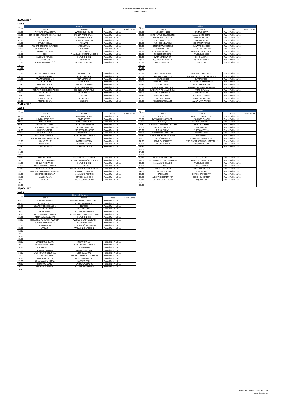## **DAY 3**

| DAY <sub>3</sub> |                                 |                           |                   |            |       |                                 |                             |                   |            |
|------------------|---------------------------------|---------------------------|-------------------|------------|-------|---------------------------------|-----------------------------|-------------------|------------|
| Time             |                                 | Field N. 1                |                   |            | Time  |                                 | Field N. 2                  |                   |            |
|                  | Team A                          | Team B                    | Phase             | Match Game |       | Team A                          | Team B                      | Phase             | Match Game |
| 08:00            | I PISTOLAS SP MANTOVA           | <b>WATERPOLO HELIOS</b>   | Round Robin 1 U11 |            | 08:00 | MULHOUSE 2007                   | <b>CAMPUS ROMA</b>          | Round Robin 1 U11 |            |
| 08:30            | CERCLE DES NAGEURS DE MARSEILLE | <b>MONZA WHITE CRABS</b>  | Round Robin 1 U11 |            | 08:30 | CLUB NATACIÓ BARCELONA          | PALLANUOTO COMO             | Round Robin 1 U11 |            |
| 09:00            | PN SALERNO U11                  | <b>GLADIATORI ZERO9</b>   | Round Robin 1 U11 |            | 09:00 | PATRAS N.C. APOLLON             | <b>KSI BLUE SHARKS</b>      | Round Robin 1 U11 |            |
| 09:30            | ZF-EGER U11                     | <b>ACADEMY RAPALLO</b>    | Round Robin 1 U11 |            | 09:30 | PRETORIANI ZERO9                | GALATASARAY                 | Round Robin 1 U11 |            |
| 10:00            | <b>ETRURIA SQUALI</b>           | YBL WPC                   | Round Robin 1 U11 |            | 10:00 | <b>AVUS SZOMBATHELY</b>         | <b>ACQUATICA TORINO</b>     | Round Robin 1 U11 |            |
| 10:30            | PSN ZRT. SPORTISKOLA (PECSI)    | <b>ABDA BRASIL</b>        | Round Robin 1 U11 |            | 10:30 | <b>SZOLNOK WATER POLO</b>       | RAVATTI-CAMOGLI             | Round Robin 1 U11 |            |
| 11:00            | <b>SGOMBRI PN TRIESTE</b>       | <b>BERGAMO</b>            | Round Robin 1 U11 |            | 11:00 | <b>RN FLORENTIA</b>             | <b>FAMILA MURI ANTICHI</b>  | Round Robin 1 U11 |            |
| 11:30            | <b>CABASSI PN CARPI</b>         | <b>PAN SHARKS</b>         | Round Robin 1 U11 |            | 11:30 | SPORTING CLUB FLEGREO           | <b>BOGLIASCO BENE U11/B</b> | Round Robin 1 U11 |            |
| 12:00            | SORI                            | PIRANHAS-COMITE' DU RHONE | Round Robin 1 U11 |            | 12:00 | <b>TRIGLIE PN TRIESTE</b>       | MUHLOUSE 2006               | Round Robin 1 U11 |            |
| 12:30            | <b>GABBIANI PERUGIA</b>         | <b>OLYMPIC NICE 2</b>     | Round Robin 1 U11 |            | 12:30 | SWIM ACADEMY 07                 | SAN GILJAN ASC              | Round Robin 1 U11 |            |
| 13:00            | <b>CACHALOTS</b>                | LASAGNA 90                | Round Robin 1 U11 |            | 13:00 | AQAMANAGEMENT "A"               | <b>GALATASARAY B</b>        | Round Robin 1 U11 |            |
| 13:30            | AQAMANAGEMENT "B"               | <b>ROMAN SPORT CITY</b>   | Round Robin 1 U11 |            | 13:30 | <b>BLU FROG-COMO</b>            | <b>FTC U11/2</b>            | Round Robin 1 U11 |            |
| 14:00            |                                 |                           |                   |            | 14:00 |                                 |                             |                   |            |
| 14:30            |                                 |                           |                   |            | 14:30 |                                 |                             |                   |            |
| 15:00            |                                 |                           |                   |            | 15:00 |                                 |                             |                   |            |
| 15:30            | VK LJUBLJANA SLOVAN             | <b>WP BARI 2007</b>       | Round Robin 1 U11 |            | 15:30 | POSILLIPO CAIMANI               | PATRAS N.C. POSEIDON        | Round Robin 1 U11 |            |
| 16:00            | <b>CAMPUS ROMA</b>              | NUOTO VICENZA             | Round Robin 1 U11 |            | 16:00 | SAN MAURO NUOTO                 | ANTARES NUOTO LATINA SQUALI | Round Robin 1 U11 |            |
| 16:30            | PALLANUOTO COMO                 | <b>ANPI MY SPORT</b>      | Round Robin 1 U11 |            | 16:30 | SZVPS SZEGED                    | <b>OLYMPIC NICE 1</b>       | Round Robin 1 U11 |            |
| 17:00            | <b>KSI BLUE SHARKS</b>          | <b>MWP BLANC</b>          | Round Robin 1 U11 |            | 17:00 | SWIM ACTION PE U11              | AVENGERS-LIVRY GARGAN       | Round Robin 1 U11 |            |
| 17:30            | PRESIDENT SQUALI                | PRETORIANI ZERO9          | Round Robin 1 U11 |            | 17:30 | A.O. KASTELLAS                  | <b>MONZA RED CRABS</b>      | Round Robin 1 U11 |            |
| 18:00            | <b>BIG TEAM ARENZANO</b>        | <b>AVUS SZOMBATHELY</b>   | Round Robin 1 U11 |            | 18:00 | <b>CHAMPAGNE- ARDENNE</b>       | CLUB AQUATICO PESCARA U11   | Round Robin 1 U11 |            |
| 18:30            | NUOTATORI GENOVESI BIANCHI      | <b>SZOLNOK WATER POLO</b> | Round Robin 1 U11 |            | 18:30 | <b>GLADIATORI ROMA VIS NOVA</b> | NUOTO CATANIA               | Round Robin 1 U11 |            |
| 19:00            | LUGANO PN U11                   | <b>RN FLORENTIA</b>       | Round Robin 1 U11 |            | 19:00 | U11 L'ISLE-ADAM                 | GALATASARAY                 | Round Robin 1 U11 |            |
| 19:30            | <b>MWP ROUGE</b>                | YBL WPC                   | Round Robin 1 U11 |            | 19:30 | LATINA PN AQUILOTTI             | <b>ACQUATICA TORINO</b>     | Round Robin 1 U11 |            |
| 20:00            | <b>ROMA VIS NOVA</b>            | <b>ABDA BRASIL</b>        | Round Robin 1 U11 |            | 20:00 | <b>GRIFONI-PERUGIA</b>          | RAVATTI-CAMOGLI             | Round Robin 1 U11 |            |
| 20:30            | <b>ANDREA DORIA</b>             | <b>BERGAMO</b>            | Round Robin 1 U12 |            | 20:30 | AKROSPORT ROMA PN               | <b>FAMILA MURI ANTICHI</b>  | Round Robin 1 U12 |            |
| 28/06/2017       |                                 |                           |                   |            |       |                                 |                             |                   |            |

| Time       |                              | Field N. 3                 |                   |            | Time  |                                 | Field N. 4                      |                   |            |
|------------|------------------------------|----------------------------|-------------------|------------|-------|---------------------------------|---------------------------------|-------------------|------------|
|            | Team A                       | Team B                     | Phase             | Match Game |       | Team A                          | Team B                          | Phase             | Match Game |
| 08:00      | LASAGNA 90                   | SAN MAURO NUOTO            | Round Robin 1 U11 |            | 08:00 | <b>FTC U11/2</b>                | <b>CANOTTIERI ARNO PISA</b>     | Round Robin 1 U11 |            |
| 08:30      | <b>ROMAN SPORT CITY</b>      | SZVPS SZEGED               | Round Robin 1 U11 |            | 08:30 | PATRAS N.C. POSEIDON            | SC QUINTO BIANCHI               | Round Robin 1 U11 |            |
| 09:00      | <b>WP BARI 2007</b>          | SWIM ACTION PE U11         | Round Robin 1 U11 |            | 09:00 | <b>FTC U11/1</b>                | <b>ORTIGIA GAMBERETTI</b>       | Round Robin 1 U11 |            |
| 09:30      | <b>MONZA RED CRABS</b>       | RN SALERNO PIRANHA         | Round Robin 1 U11 |            | 09:30 | NUOTATORI GENOVESI AZZURRI      | <b>CSS N.1 BUCHAREST</b>        | Round Robin 1 U11 |            |
| 10:00      | CLUB AQUATICO PESCARA U11    | ORTIGIA RANOCCHI           | Round Robin 1 U11 |            | 10:00 | <b>ONDABLU DALMINE</b>          | AQUADEMIA                       | Round Robin 1 U11 |            |
| 10:30      | NUOTO CATANIA                | PRO RECCO ACADEMY          | Round Robin 1 U11 |            | 10:30 | A.O. KASTELLAS                  | <b>NUOTO VICENZA</b>            | Round Robin 1 U11 |            |
| 11:00      | PRESIDENT SQUALI             | RN SAVONA U11              | Round Robin 1 U11 |            | 11:00 | <b>CHAMPAGNE- ARDENNE</b>       | <b>ANPI MY SPORT</b>            | Round Robin 1 U11 |            |
| 11:30      | <b>BIG TEAM ARENZANO</b>     | POSILLIPO COCCODRILLI      | Round Robin 1 U11 |            | 11:30 | <b>GLADIATORI ROMA VIS NOVA</b> | <b>MWP BLANC</b>                | Round Robin 1 U11 |            |
| 12:00      | NUOTATORI GENOVESI BIANCHI   | AS MONACO                  | Round Robin 1 U11 |            | 12:00 | U11 L'ISLE-ADAM                 | I PISTOLAS SP MANTOVA           | Round Robin 1 U11 |            |
| 12:30      | LUGANO PN U11                | CAIMANI IMPERIA            | Round Robin 1 U11 |            | 12:30 | LATINA PN AQUILOTTI             | CERCLE DES NAGEURS DE MARSEILLE | Round Robin 1 U11 |            |
| 13:00      | <b>MWP ROUGE</b>             | <b>ETHNIKOS PIRAEUS</b>    | Round Robin 1 U11 |            | 13:00 | <b>GRIFONI-PERUGIA</b>          | PN SALERNO U11                  | Round Robin 1 U11 |            |
| 13:30      | ROMA VIS NOVA                | <b>SC QUINTO ROSSI</b>     | Round Robin 1 U11 |            | 13:30 |                                 |                                 | Round Robin 1 U11 |            |
| 14:00      |                              |                            |                   |            | 14:00 |                                 |                                 |                   |            |
| 14:30      |                              |                            |                   |            | 14:30 |                                 |                                 |                   |            |
| 15:00      |                              |                            |                   |            | 15:00 |                                 |                                 |                   |            |
| 15:30      | <b>ANDREA DORIA</b>          | NEWPORT BEACH SAILORS      | Round Robin 1 U11 |            | 15:30 | AKROSPORT ROMA PN               | ZF-EGER U11                     | Round Robin 1 U11 |            |
| 16:00      | CANOTTIERI ARNO PISA         | PIRANHAS-COMITE' DU RHONE  | Round Robin 1 U11 |            | 16:00 | ANTARES NUOTO LATINA PIRATI     | <b>BOGLIASCO BENE U11/B</b>     | Round Robin 1 U11 |            |
| 16:30      | <b>SC QUINTO BIANCHI</b>     | <b>OLYMPIC NICE 2</b>      | Round Robin 1 U11 |            | 16:30 | RN SALERNO DRAGHI               | MUHLOUSE 2006                   | Round Robin 1 U11 |            |
| 17:00      | PRESIDENT COCCODRILLI        | <b>FTC U11/1</b>           | Round Robin 1 U11 |            | 17:00 | <b>BLU 3000</b>                 | SAN GILJAN ASC                  | Round Robin 1 U11 |            |
| 17:30      | PESCARA PALLANUOTO           | NUOTATORI GENOVESI AZZURRI | Round Robin 1 U11 |            | 17:30 | <b>CABASSI PN CARPI</b>         | SPORTIVA STURLA                 | Round Robin 1 U11 |            |
| 18:00      | LITTLE SHARKS-VENERE AZZURRA | ONDABLU DALMINE            | Round Robin 1 U11 |            | 18:00 | <b>GABBIANI PERUGIA</b>         | <b>VK PRIMORAC</b>              | Round Robin 1 U11 |            |
| 18:30      | <b>BOGLIASCO BENE U11A</b>   | RN SALERNO PIRANHA         | Round Robin 1 U11 |            | 18:30 | CACHALOTS                       | ORTIGIA GAMBERETTI              | Round Robin 1 U11 |            |
| 19:00      | MANIANPAMA                   | <b>ORTIGIA RANOCCHI</b>    | Round Robin 1 U11 |            | 19:00 | AQAMANAGEMENT "B"               | <b>CSS N.1 BUCHAREST</b>        | Round Robin 1 U11 |            |
| 19:30      | <b>WP BARI</b>               | PRO RECCO ACADEMY          | Round Robin 1 U11 |            | 19:30 | VK LJUBLJANA SLOVAN             | AQUADEMIA                       | Round Robin 1 U11 |            |
| 20:00      |                              |                            |                   |            | 20:00 |                                 |                                 |                   |            |
| 20:30      |                              |                            |                   |            | 20:30 |                                 |                                 |                   |            |
| 28/06/2017 |                              |                            |                   |            |       |                                 |                                 |                   |            |

**DAY 3**

| Time  |                              | Field N. 5 (Le Vele)         |                   |            |
|-------|------------------------------|------------------------------|-------------------|------------|
|       | Team A                       | Team B                       | Phase             | Match Game |
| 08:00 | <b>ETHNIKOS PIRAEUS</b>      | ANTARES NUOTO LATINA PIRATI  | Round Robin 1 U11 |            |
| 08:30 | SC QUINTO ROSSI              | RN SALERNO DRAGHI            | Round Robin 1 U11 |            |
| 09:00 | NEWPORT BEACH SAILORS        | <b>BLU 3000</b>              | Round Robin 1 U11 |            |
| 09:30 | SPORTIVA STURLA              | <b>DVSE POLOSULI</b>         | Round Robin 1 U11 |            |
| 10:00 | <b>VK PRIMORAC</b>           | <b>WATERPOLIS LARIANO</b>    | Round Robin 1 U11 |            |
| 10:30 | PRESIDENT COCCODRILLI        | ANTARES NUOTO LATINA SQUALI  | Round Robin 1 U11 |            |
| 11:00 | PESCARA PALLANUOTO           | <b>OLYMPIC NICE 1</b>        | Round Robin 1 U11 |            |
| 11:30 | LITTLE SHARKS-VENERE AZZURRA | AVENGERS-LIVRY GARGAN        | Round Robin 1 U11 |            |
| 12:00 | <b>BOGLIASCO BENE U11A</b>   | MULHOUSE 2007                | Round Robin 1 U11 |            |
| 12:30 | MANIANPAMA                   | CLUB NATACIÓ BARCELONA       | Round Robin 1 U11 |            |
| 13:00 | <b>WP BARI</b>               | PATRAS N.C. APOLLON          | Round Robin 1 U11 |            |
| 13:30 |                              |                              |                   |            |
| 14:00 |                              |                              |                   |            |
| 14:30 |                              |                              |                   |            |
| 15:00 |                              |                              |                   |            |
| 15:30 | <b>WATERPOLO HELIOS</b>      | RN SAVONA U11                | Round Robin 1 U11 |            |
| 16:00 | <b>MONZA WHITE CRABS</b>     | POSILLIPO COCCODRILLI        | Round Robin 1 U11 |            |
| 16:30 | <b>GLADIATORI ZERO9</b>      | AS MONACO                    | Round Robin 1 U11 |            |
| 17:00 | ACADEMY RAPALLO              | CAIMANI IMPERIA              | Round Robin 1 U11 |            |
| 17:30 | SPORTING CLUB FLEGREO        | <b>ETRURIA SQUALI</b>        | Round Robin 1 U11 |            |
| 18:00 | <b>TRIGLIE PN TRIESTE</b>    | PSN ZRT. SPORTISKOLA (PECSI) | Round Robin 1 U11 |            |
| 18:30 | SWIM ACADEMY 07              | <b>SGOMBRI PN TRIESTE</b>    | Round Robin 1 U11 |            |
| 19:00 | AQAMANAGEMENT "A"            | <b>DVSE POLOSULI</b>         | Round Robin 1 U11 |            |
| 19:30 | <b>BLU FROG-COMO</b>         | SWIM ACADEMY 06              | Round Robin 1 U11 |            |
| 20:00 | POSILLIPO CAIMANI            | <b>WATERPOLIS LARIANO</b>    | Round Robin 1 U11 |            |
| 20:30 |                              |                              |                   |            |

# **28/06/2017**

Delta I.S.O. Sports Events Services www.deltaiso.gr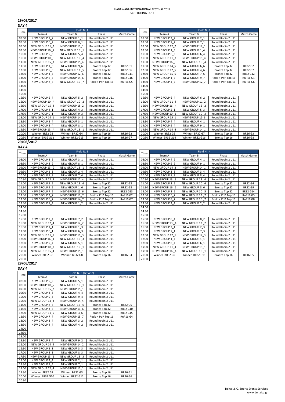|--|--|

# **DAY 4**

| Time       |                 | Field N. 1      |                   |                 | Time  |                 |                 | Field N. 2        |                 |  |
|------------|-----------------|-----------------|-------------------|-----------------|-------|-----------------|-----------------|-------------------|-----------------|--|
|            | Team A          | Team B          | Phase             | Match Game      |       | Team A          | Team B          | Phase             | Match Game      |  |
| 08:00      | NEW GROUP 1 2   | NEW GROUP 1 1   | Round Robin 2 U11 |                 | 08:00 | NEW GROUP 2 2   | NEW GROUP 2 1   | Round Robin 2 U11 |                 |  |
| 08:30      | NEW GROUP 6 2   | NEW GROUP 6 1   | Round Robin 2 U11 |                 | 08:30 | NEW GROUP 7 2   | NEW GROUP 7 1   | Round Robin 2 U11 |                 |  |
| 09:00      | NEW GROUP 11 2  | NEW GROUP 11 1  | Round Robin 2 U11 |                 | 09:00 | NEW GROUP 12 2  | NEW GROUP 12 1  | Round Robin 2 U11 |                 |  |
| 09:30      | NEW GROUP 16 2  | NEW GROUP 16 1  | Round Robin 2 U11 |                 | 09:30 | NEW GROUP 1 3   | NEW GROUP 1 4   | Round Robin 2 U11 |                 |  |
| 10:00      | NEW GROUP 5 3   | NEW GROUP 5 4   | Round Robin 2 U11 |                 | 10:00 | NEW GROUP 6 3   | NEW GROUP 6 4   | Round Robin 2 U11 |                 |  |
| 10:30      | NEW GROUP 10 3  | NEW GROUP 10 4  | Round Robin 2 U11 |                 | 10:30 | NEW GROUP 11 3  | NEW GROUP 11 4  | Round Robin 2 U11 |                 |  |
| 11:00      | NEW GROUP 15 3  | NEW GROUP 15 4  | Round Robin 2 U11 |                 | 11:00 | NEW GROUP 16 3  | NEW GROUP 16 4  | Round Robin 2 U11 |                 |  |
| 11:30      | NEW GROUP 1 5   | NEW GROUP 9 6   | Bronze Top 32     | <b>BR32 G1</b>  | 11:30 | NEW GROUP 14 5  | NEW GROUP 6 6   | Bronze Top 32     | <b>BR32 G2</b>  |  |
| 12:00      | NEW GROUP 5 6   | NEW GROUP 13 5  | Bronze Top 32     | <b>BR32 G6</b>  | 12:00 | NEW GROUP 12 5  | NEW GROUP 4 6   | Bronze Top 32     | <b>BR32 G7</b>  |  |
| 12:30      | NEW GROUP 4 5   | NEW GROUP 12 6  | Bronze Top 32     | <b>BR32 G11</b> | 12:30 | NEW GROUP 15 5  | NEW GROUP 7 6   | Bronze Top 32     | BR32 G12        |  |
| 13:00      | NEW GROUP 6 5   | NEW GROUP 14 6  | Bronze Top 32     | <b>BR32 G16</b> | 13:00 | NEW GROUP 1 7   | NEW GROUP 9 7   | Rock N PoP Top 16 | RnP16 G1        |  |
| 13:30      | NEW GROUP 2 7   | NEW GROUP 10 7  | Rock N PoP Top 16 | <b>RnP16 G5</b> | 13:30 | NEW GROUP 4 7   | NEW GROUP 12 7  | Rock N PoP Top 16 | <b>RnP16 G6</b> |  |
| 14:00      |                 |                 |                   |                 | 14:00 |                 |                 |                   |                 |  |
| 14:30      |                 |                 |                   |                 | 14:30 |                 |                 |                   |                 |  |
| 15:00      |                 |                 |                   |                 | 15:00 |                 |                 |                   |                 |  |
| 15:30      | NEW GROUP 5 4   | NEW GROUP 5 2   | Round Robin 2 U11 |                 | 15:30 | NEW GROUP 6 4   | NEW GROUP 6 2   | Round Robin 2 U11 |                 |  |
| 16:00      | NEW GROUP 10_4  | NEW GROUP 10 2  | Round Robin 2 U11 |                 | 16:00 | NEW GROUP 11 4  | NEW GROUP 11 2  | Round Robin 2 U11 |                 |  |
| 16:30      | NEW GROUP 15 4  | NEW GROUP 15 2  | Round Robin 2 U11 |                 | 16:30 | NEW GROUP 16 4  | NEW GROUP 16 2  | Round Robin 2 U11 |                 |  |
| 17:00      | NEW GROUP 4 1   | NEW GROUP 4 3   | Round Robin 2 U11 |                 | 17:00 | NEW GROUP 5 1   | NEW GROUP 5 3   | Round Robin 2 U11 |                 |  |
| 17:30      | NEW GROUP 9 1   | NEW GROUP 9 3   | Round Robin 2 U11 |                 | 17:30 | NEW GROUP 10 1  | NEW GROUP 10 3  | Round Robin 2 U11 |                 |  |
| 18:00      | NEW GROUP 14 1  | NEW GROUP 14 3  | Round Robin 2 U11 |                 | 18:00 | NEW GROUP 15 1  | NEW GROUP 15 3  | Round Robin 2 U11 |                 |  |
| 18:30      | NEW GROUP 3 4   | NEW GROUP 3 1   | Round Robin 2 U11 |                 | 18:30 | NEW GROUP 4_4   | NEW GROUP 4 1   | Round Robin 2 U11 |                 |  |
| 19:00      | NEW GROUP 8 4   | NEW GROUP 8 1   | Round Robin 2 U11 |                 | 19:00 | NEW GROUP 9 4   | NEW GROUP 9 1   | Round Robin 2 U11 |                 |  |
| 19:30      | NEW GROUP 13 4  | NEW GROUP 13 1  | Round Robin 2 U11 |                 | 19:30 | NEW GROUP 14 4  | NEW GROUP 14 1  | Round Robin 2 U11 |                 |  |
| 20:00      | Winner BR32 G2  | Winner BR32 G4  | Bronze Top 16     | <b>BR16 G2</b>  | 20:00 | Winner BR32 G5  | Winner BR32 G7  | Bronze Top 16     | <b>BR16 G3</b>  |  |
| 20:30      | Winner BR32 G12 | Winner BR32 G15 | Bronze Top 16     | <b>BR16 G7</b>  | 20:30 | Winner BR32 G14 | Winner BR32 G16 | Bronze Top 16     | <b>BR16 G8</b>  |  |
| 29/06/2017 |                 |                 |                   |                 |       |                 |                 |                   |                 |  |

|       |                | Field N. 3     |                   |                 |             |                | Field N. 4      |                   |                 |
|-------|----------------|----------------|-------------------|-----------------|-------------|----------------|-----------------|-------------------|-----------------|
| Time  | Team A         | Team B         | Phase             | Match Game      | <b>Time</b> | Team A         | Team B          | Phase             | Match Game      |
| 08:00 | NEW GROUP 3 2  | NEW GROUP 3 1  | Round Robin 2 U11 |                 | 08:00       | NEW GROUP 4 2  | NEW GROUP 4 1   | Round Robin 2 U11 |                 |
| 08:30 | NEW GROUP 8 2  | NEW GROUP 8 1  | Round Robin 2 U11 |                 | 08:30       | NEW GROUP 9 2  | NEW GROUP 9 1   | Round Robin 2 U11 |                 |
| 09:00 | NEW GROUP 13 2 | NEW GROUP 13 1 | Round Robin 2 U11 |                 | 09:00       | NEW GROUP 14 2 | NEW GROUP 14 1  | Round Robin 2 U11 |                 |
| 09:30 | NEW GROUP 2 3  | NEW GROUP 2 4  | Round Robin 2 U11 |                 | 09:30       | NEW GROUP 3 3  | NEW GROUP 3 4   | Round Robin 2 U11 |                 |
| 10:00 | NEW GROUP 7 3  | NEW GROUP 7 4  | Round Robin 2 U11 |                 | 10:00       | NEW GROUP 8 3  | NEW GROUP 8 4   | Round Robin 2 U11 |                 |
| 10:30 | NEW GROUP 12 3 | NEW GROUP 12 4 | Round Robin 2 U11 |                 | 10:30       | NEW GROUP 13 3 | NEW GROUP 13 4  | Round Robin 2 U11 |                 |
| 11:00 | NEW GROUP 5 5  | NEW GROUP 13 6 | Bronze Top 32     | <b>BR32 G3</b>  | 11:00       | NEW GROUP 2 5  | NEW GROUP 10 6  | Bronze Top 32     | <b>BR32 G4</b>  |
| 11:30 | NEW GROUP 9 5  | NEW GROUP 1 6  | Bronze Top 32     | <b>BR32 G8</b>  | 11:30       | NEW GROUP 16 5 | NEW GROUP 8 6   | Bronze Top 32     | <b>BR32 G9</b>  |
| 12:00 | NEW GROUP 7 5  | NEW GROUP 15 6 | Bronze Top 32     | <b>BR32 G13</b> | 12:00       | NEW GROUP 2 6  | NEW GROUP 10 5  | Bronze Top 32     | <b>BR32 G14</b> |
| 12:30 | NEW GROUP 3 7  | NEW GROUP 11 7 | Rock N PoP Top 16 | <b>RnP16 G2</b> | 12:30       | NEW GROUP 5 7  | NEW GROUP 13 7  | Rock N PoP Top 16 | RnP16 G3        |
| 13:00 | NEW GROUP 6 7  | NEW GROUP 14 7 | Rock N PoP Top 16 | RnP16 G7        | 13:00       | NEW GROUP 8 7  | NEW GROUP 16 7  | Rock N PoP Top 16 | <b>RnP16 G8</b> |
| 13:30 | NEW GROUP 1 4  | NEW GROUP 1 2  | Round Robin 2 U11 |                 | 13:30       | NEW GROUP 2 4  | NEW GROUP 2 2   | Round Robin 2 U11 |                 |
| 14:00 |                |                |                   |                 | 14:00       |                |                 |                   |                 |
| 14:30 |                |                |                   |                 | 14:30       |                |                 |                   |                 |
| 15:00 |                |                |                   |                 | 15:00       |                |                 |                   |                 |
| 15:30 | NEW GROUP 7 4  | NEW GROUP 7 2  | Round Robin 2 U11 |                 | 15:30       | NEW GROUP 8 4  | NEW GROUP 8 2   | Round Robin 2 U11 |                 |
| 16:00 | NEW GROUP 12 4 | NEW GROUP 12 2 | Round Robin 2 U11 |                 | 16:00       | NEW GROUP 13 4 | NEW GROUP 13 2  | Round Robin 2 U11 |                 |
| 16:30 | NEW GROUP 1 1  | NEW GROUP 1 3  | Round Robin 2 U11 |                 | 16:30       | NEW GROUP 2 1  | NEW GROUP 2 3   | Round Robin 2 U11 |                 |
| 17:00 | NEW GROUP 6 1  | NEW GROUP 6 3  | Round Robin 2 U11 |                 | 17:00       | NEW GROUP 7 1  | NEW GROUP 7 3   | Round Robin 2 U11 |                 |
| 17:30 | NEW GROUP 11 1 | NEW GROUP 11 3 | Round Robin 2 U11 |                 | 17:30       | NEW GROUP 12 1 | NEW GROUP 12 3  | Round Robin 2 U11 |                 |
| 18:00 | NEW GROUP 16 1 | NEW GROUP 16 3 | Round Robin 2 U11 |                 | 18:00       | NEW GROUP 1 4  | NEW GROUP 1 1   | Round Robin 2 U11 |                 |
| 18:30 | NEW GROUP 5_4  | NEW GROUP 5 1  | Round Robin 2 U11 |                 | 18:30       | NEW GROUP 6 4  | NEW GROUP 6 1   | Round Robin 2 U11 |                 |
| 19:00 | NEW GROUP 10 4 | NEW GROUP 10 1 | Round Robin 2 U11 |                 | 19:00       | NEW GROUP 11 4 | NEW GROUP 11 1  | Round Robin 2 U11 |                 |
| 19:30 | NEW GROUP 15 4 | NEW GROUP 15 1 | Round Robin 2 U11 |                 | 19:30       | NEW GROUP 16 4 | NEW GROUP 16 1  | Round Robin 2 U11 |                 |
| 20:00 | Winner BR32 G6 | Winner BR32 G8 | Bronze Top 16     | <b>BR16 G4</b>  | 20:00       | Winner BR32 G9 | Winner BR32 G11 | Bronze Top 16     | <b>BR16 G5</b>  |
| 20:30 |                |                |                   |                 | 20:30       |                |                 |                   |                 |
|       |                |                |                   |                 |             |                |                 |                   |                 |

# **DAY 4**

| Time  | Field N. 5 (Le Vele) |                |                   |            |  |  |  |  |  |  |
|-------|----------------------|----------------|-------------------|------------|--|--|--|--|--|--|
|       | Team A               | Team B         | Phase             | Match Game |  |  |  |  |  |  |
| 08:00 | NEW GROUP 5 2        | NEW GROUP 5 1  | Round Robin 2 U11 |            |  |  |  |  |  |  |
| 08:30 | NEW GROUP 10 2       | NEW GROUP 10 1 | Round Robin 2 U11 |            |  |  |  |  |  |  |
| 09:00 | NEW GROUP 15 2       | NEW GROUP 15 1 | Round Robin 2 U11 |            |  |  |  |  |  |  |
| 09:30 | NEW GROUP 4 3        | NEW GROUP 4 4  | Round Robin 2 U11 |            |  |  |  |  |  |  |
| 10:00 | NEW GROUP 9 3        | NEW GROUP 9 4  | Round Robin 2 U11 |            |  |  |  |  |  |  |
| 10:30 | NEW GROUP 14 3       | NEW GROUP 14 4 | Round Robin 2 U11 |            |  |  |  |  |  |  |

| 11:00 | NEW GROUP 8 5   | NEW GROUP 16 6  | Bronze Top 32     | <b>BR32 G5</b>  |
|-------|-----------------|-----------------|-------------------|-----------------|
| 11:30 | NEW GROUP 3 5   | NEW GROUP 11 6  | Bronze Top 32     | BR32 G10        |
| 12:00 | NEW GROUP 11 5  | NEW GROUP 3 6   | Bronze Top 32     | BR32 G15        |
| 12:30 | NEW GROUP 7 7   | NEW GROUP 15 7  | Rock N PoP Top 16 | <b>RnP16 G4</b> |
| 13:00 | NEW GROUP 3 4   | NEW GROUP 3 2   | Round Robin 2 U11 |                 |
| 13:30 | NEW GROUP 4 4   | NEW GROUP 4 2   | Round Robin 2 U11 |                 |
| 14:00 |                 |                 |                   |                 |
| 14:30 |                 |                 |                   |                 |
| 15:00 |                 |                 |                   |                 |
| 15:30 | NEW GROUP 9 4   | NEW GROUP 9 2   | Round Robin 2 U11 |                 |
| 16:00 | NEW GROUP 14 4  | NEW GROUP 14 2  | Round Robin 2 U11 |                 |
| 16:30 | NEW GROUP 3 1   | NEW GROUP 3 3   | Round Robin 2 U11 |                 |
| 17:00 | NEW GROUP 8 1   | NEW GROUP 8 3   | Round Robin 2 U11 |                 |
| 17:30 | NEW GROUP 13 1  | NEW GROUP 13 3  | Round Robin 2 U11 |                 |
| 18:00 | NEW GROUP 2 4   | NEW GROUP 2 1   | Round Robin 2 U11 |                 |
| 18:30 | NEW GROUP 7 4   | NEW GROUP 7 1   | Round Robin 2 U11 |                 |
| 19:00 | NEW GROUP 12 4  | NEW GROUP 12 1  | Round Robin 2 U11 |                 |
| 19:30 | Winner BR32 G1  | Winner BR32 G3  | Bronze Top 16     | <b>BR16 G1</b>  |
| 20:00 | Winner BR32 G10 | Winner BR32 G12 | Bronze Top 16     | <b>BR16 G6</b>  |
| 20:30 |                 |                 |                   |                 |

# **29/06/2017**

# **29/06/2017**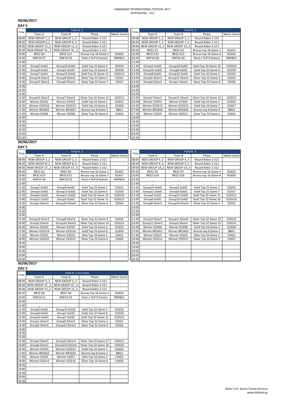| DAY <sub>5</sub> |                 |                 |                       |                   |       |                 |                 |                       |              |
|------------------|-----------------|-----------------|-----------------------|-------------------|-------|-----------------|-----------------|-----------------------|--------------|
| Time             |                 | Field N. 1      |                       |                   | Time  |                 | Field N. 2      |                       |              |
|                  | Team A          | Team B          | Phase                 | <b>Match Game</b> |       | Team A          | Team B          | Phase                 | Match Game   |
| 08:00            | NEW GROUP 1 2   | NEW GROUP 1 3   | Round Robin 2 U11     |                   | 08:00 | NEW GROUP 2 2   | NEW GROUP 2 3   | Round Robin 2 U11     |              |
| 08:30            | NEW GROUP 6 2   | NEW GROUP 6 3   | Round Robin 2 U11     |                   | 08:30 | NEW GROUP 7 2   | NEW GROUP 7 3   | Round Robin 2 U11     |              |
| 09:00            | NEW GROUP 11 2  | NEW GROUP 11 3  | Round Robin 2 U11     |                   | 09:00 | NEW GROUP 12 2  | NEW GROUP 12 3  | Round Robin 2 U11     |              |
| 09:30            | NEW GROUP 16 2  | NEW GROUP 16 3  | Round Robin 2 U11     |                   | 09:30 | <b>BR32 G1</b>  | <b>BR32 G3</b>  | Bronze top 16 Game 1  | <b>B16G1</b> |
| 10:00            | <b>BR32 G9</b>  | BR32 G11        | Bronze top 16 Game 5  | <b>B16G5</b>      | 10:00 | <b>BR32 G10</b> | BR32 G12        | Bronze top 16 Game 6  | <b>B16G6</b> |
| 10:30            | <b>RNP16 G7</b> | <b>RNP16 G5</b> | Rock n PoP 8 Game2    | RNP8G2            | 10:30 | <b>RNP16 G8</b> | <b>RNP16 G6</b> | Rock n PoP 8 Game3    | RNP8G3       |
| 11:00            |                 |                 |                       |                   | 11:00 |                 |                 |                       |              |
| 11:30            | Group2 Gold1    | Group10 Gold2   | Gold Top 32 Game 4    | G32G4             | 11:30 | Group2 Gold2    | Group10 Gold1   | Gold Top 32 Game 14   | G32G14       |
| 12:00            | Group9 Gold1    | Group1 Gold2    | Gold Top 32 Game 8    | G32G8             | 12:00 | Group16 Gold1   | Group8 Gold2    | Gold Top 32 Game 9    | G32G9        |
| 12:30            | Group7 Gold1    | Group15 Gold2   | Gold Top 32 Game 13   | G32G13            | 12:30 | Group8 Gold1    | Group16 Gold2   | Gold Top 32 Game 5    | G32G5        |
| 13:00            | Group14 Silver3 | Group6 Silver4  | Silver Top 32 Game 2  | S32G2             | 13:00 | Group5 Silver3  | Group13 Silver4 | Silver Top 32 Game 3  | S32G3        |
| 13:30            | Group12 Silver3 | Group4 Silver4  | Silver Top 32 Game 7  | S32G7             | 13:30 | Group9 Silver3  | Group1 Silver4  | Silver Top 32 Game 8  | S32G8        |
| 14:00            |                 |                 |                       |                   | 14:00 |                 |                 |                       |              |
| 14:30            |                 |                 |                       |                   | 14:30 |                 |                 |                       |              |
| 15:00            |                 |                 |                       |                   | 15:00 |                 |                 |                       |              |
| 15:30            | Group15 Silver3 | Group7 Silver4  | Silver Top 32 Game 12 | S32G12            | 15:30 | Group7 Silver3  | Group15 Silver4 | Silver Top 32 Game 13 | S32G13       |
| 16:00            | Winner G32G1    | Winner G32G3    | Gold Top 16 Game 1    | G16G1             | 16:00 | Winner G32G2    | Winner G32G4    | Gold Top 16 Game 2    | G16G2        |
| 16:30            | Winner G32G10   | Winner G32G12   | Gold Top 16 Game 6    | G16G6             | 16:30 | Winner G32G13   | Winner G32G15   | Gold Top 16 Game 7    | G16G7        |
| 17:00            | Winner BR16G5   | Winner BR16G7   | Bronze top 8 Game 3   | <b>B8G3</b>       | 17:00 | Winner BR16G6   | Winner BR16G8   | Bronze top 8 Game 4   | <b>B8G4</b>  |
| 17:30            | Winner S32G6    | Winner S32G8    | Silver Top 16 Game 4  | S16G4             | 17:30 | Winner S32G9    | Winner S32G11   | Silver Top 16 Game 5  | S16G5        |
| 18:00            |                 |                 |                       |                   | 18:00 |                 |                 |                       |              |
| 18:30            |                 |                 |                       |                   | 18:30 |                 |                 |                       |              |
| 19:00            |                 |                 |                       |                   | 19:00 |                 |                 |                       |              |
| 19:30            |                 |                 |                       |                   | 19:30 |                 |                 |                       |              |
| 20:00            |                 |                 |                       |                   | 20:00 |                 |                 |                       |              |
| 20:30            |                 |                 |                       |                   | 20:30 |                 |                 |                       |              |

# **DAY 5 30/06/2017**

| Field N. 3<br>Field N. 4<br>Time<br>Time<br>Match Game<br>Team A<br>Team A<br>Match Game<br>Team B<br>Phase<br>Team B<br>Phase<br>NEW GROUP 4 2<br>NEW GROUP 3 2<br>NEW GROUP 3 3<br>Round Robin 2 U11<br>08:00<br>NEW GROUP 4 3<br>Round Robin 2 U11<br><b>NEW GROUP 8 2</b><br>08:30<br>NEW GROUP 9 2<br>NEW GROUP 9 3<br>08:30<br>NEW GROUP 8 3<br>Round Robin 2 U11<br>Round Robin 2 U11<br>09:00<br>NEW GROUP 14 2<br>NEW GROUP 13 2<br>NEW GROUP 13 3<br>Round Robin 2 U11<br>NEW GROUP 14 3<br>Round Robin 2 U11<br><b>BR32 G2</b><br>09:30<br><b>BR32 G5</b><br><b>BR32 G4</b><br>Bronze top 16 Game 2<br>B16G2<br><b>BR32 G7</b><br>Bronze top 16 Game 3<br>B16G3<br><b>B16G7</b><br>10:00<br>BR32 G14<br>BR32 G13<br>BR32 G15<br>Bronze top 16 Game 7<br>BR32 G16<br>Bronze top 16 Game 8<br><b>B16G8</b><br>10:30<br><b>RNP16 G4</b><br><b>RNP16 G2</b><br>Rock n PoP 8 Game4<br>RNP8G4<br>11:00<br>11:00<br>Group1 Gold1<br>Group9 Gold2<br>Group2 Gold2<br>G32G1<br>11:30<br>Group14 Gold1<br>G32G2<br>Gold Top 32 Game 1<br>Gold Top 32 Game 2<br>Group5 Gold2<br>Group13 Gold1<br>Gold Top 32 Game 6<br>G32G6<br>12:00<br>Group12 Gold1<br>Gold Top 32 Game 7<br>Group4 Gold2<br>G32G7<br>12:30<br>Gold Top 32 Game 10<br>G32G10<br>Group4 Gold1<br>Group12 Gold2<br>G32G11<br>Group3 Gold1<br>Group11 Gold2<br>Gold Top 32 Game 11<br>Gold Top 32 Game 15<br>G32G15<br>13:00<br>Group6 Gold1<br>Group14 Gold2<br>Gold Top 32 Game 16<br>Group11 Gold1<br>Group3 Gold2<br>G32G16<br>13:30<br>Silver Top 32 Game 4<br>13:30<br>Group8 Silver3<br>Group16 Silver4<br>Silver Top 32 Game 5<br>Group2 Silver3<br>Group10 Silver4<br>S32G4<br>S32G5<br>14:00<br>14:30<br>15:00<br>15:30<br>Group16 Silver3<br>Group8 Silver4<br>Silver Top 32 Game 9<br>S32G9<br>Group3 Silver3<br>Group11 Silver4<br>Silver Top 32 Game 10<br>S32G10<br>16:00<br>Group2 Silver4<br>Group10 Silver3<br>Silver Top 32 Game 14<br>S32G14<br>16:00<br>Group11 Silver3<br>Group3 Silver4<br>Silver Top 32 Game 15<br>S32G15<br>Winner G32G5<br>Winner G32G7<br>Gold Top 16 Game 3<br>16:30<br>Winner G32G6<br>Winner G32G8<br>G16G3<br>Gold Top 16 Game 4<br>G16G4<br>Winner G32G14<br>Winner G32G16<br>Gold Top 16 Game 8<br>17:00<br>Winner BR16G1<br>G16G8<br>Winner BR16G3<br>Bronze top 8 Game 1<br><b>B8G1</b><br>17:30<br>Winner S32G2<br>Winner S32G1<br>Winner S32G3<br>Silve Top 16 Game 1<br>S16G1<br>Winner S32G4<br>Silve Top 16 Game 2<br>S16G2<br>Winner S32G10<br>Winner S32G12<br>Silver Top 16 Game 6<br>S16G6<br>18:00<br>Winner S32G13<br>Winner S32G15<br>18:00<br>Silver Top 16 Game 7<br>S16G7<br>18:30<br>18:30<br>19:00<br>19:30<br>20:00<br>20:00<br>20:30 | . והש |  |  |  |  |  |  |  |  |  |
|----------------------------------------------------------------------------------------------------------------------------------------------------------------------------------------------------------------------------------------------------------------------------------------------------------------------------------------------------------------------------------------------------------------------------------------------------------------------------------------------------------------------------------------------------------------------------------------------------------------------------------------------------------------------------------------------------------------------------------------------------------------------------------------------------------------------------------------------------------------------------------------------------------------------------------------------------------------------------------------------------------------------------------------------------------------------------------------------------------------------------------------------------------------------------------------------------------------------------------------------------------------------------------------------------------------------------------------------------------------------------------------------------------------------------------------------------------------------------------------------------------------------------------------------------------------------------------------------------------------------------------------------------------------------------------------------------------------------------------------------------------------------------------------------------------------------------------------------------------------------------------------------------------------------------------------------------------------------------------------------------------------------------------------------------------------------------------------------------------------------------------------------------------------------------------------------------------------------------------------------------------------------------------------------------------------------------------------------------------------------------------------------------------------------------------------------------------------------------------------------------------------------------------------------------------------------------------------------------------------------------------------------------------------------------|-------|--|--|--|--|--|--|--|--|--|
|                                                                                                                                                                                                                                                                                                                                                                                                                                                                                                                                                                                                                                                                                                                                                                                                                                                                                                                                                                                                                                                                                                                                                                                                                                                                                                                                                                                                                                                                                                                                                                                                                                                                                                                                                                                                                                                                                                                                                                                                                                                                                                                                                                                                                                                                                                                                                                                                                                                                                                                                                                                                                                                                            |       |  |  |  |  |  |  |  |  |  |
|                                                                                                                                                                                                                                                                                                                                                                                                                                                                                                                                                                                                                                                                                                                                                                                                                                                                                                                                                                                                                                                                                                                                                                                                                                                                                                                                                                                                                                                                                                                                                                                                                                                                                                                                                                                                                                                                                                                                                                                                                                                                                                                                                                                                                                                                                                                                                                                                                                                                                                                                                                                                                                                                            |       |  |  |  |  |  |  |  |  |  |
|                                                                                                                                                                                                                                                                                                                                                                                                                                                                                                                                                                                                                                                                                                                                                                                                                                                                                                                                                                                                                                                                                                                                                                                                                                                                                                                                                                                                                                                                                                                                                                                                                                                                                                                                                                                                                                                                                                                                                                                                                                                                                                                                                                                                                                                                                                                                                                                                                                                                                                                                                                                                                                                                            | 08:00 |  |  |  |  |  |  |  |  |  |
|                                                                                                                                                                                                                                                                                                                                                                                                                                                                                                                                                                                                                                                                                                                                                                                                                                                                                                                                                                                                                                                                                                                                                                                                                                                                                                                                                                                                                                                                                                                                                                                                                                                                                                                                                                                                                                                                                                                                                                                                                                                                                                                                                                                                                                                                                                                                                                                                                                                                                                                                                                                                                                                                            |       |  |  |  |  |  |  |  |  |  |
|                                                                                                                                                                                                                                                                                                                                                                                                                                                                                                                                                                                                                                                                                                                                                                                                                                                                                                                                                                                                                                                                                                                                                                                                                                                                                                                                                                                                                                                                                                                                                                                                                                                                                                                                                                                                                                                                                                                                                                                                                                                                                                                                                                                                                                                                                                                                                                                                                                                                                                                                                                                                                                                                            | 09:00 |  |  |  |  |  |  |  |  |  |
|                                                                                                                                                                                                                                                                                                                                                                                                                                                                                                                                                                                                                                                                                                                                                                                                                                                                                                                                                                                                                                                                                                                                                                                                                                                                                                                                                                                                                                                                                                                                                                                                                                                                                                                                                                                                                                                                                                                                                                                                                                                                                                                                                                                                                                                                                                                                                                                                                                                                                                                                                                                                                                                                            | 09:30 |  |  |  |  |  |  |  |  |  |
|                                                                                                                                                                                                                                                                                                                                                                                                                                                                                                                                                                                                                                                                                                                                                                                                                                                                                                                                                                                                                                                                                                                                                                                                                                                                                                                                                                                                                                                                                                                                                                                                                                                                                                                                                                                                                                                                                                                                                                                                                                                                                                                                                                                                                                                                                                                                                                                                                                                                                                                                                                                                                                                                            | 10:00 |  |  |  |  |  |  |  |  |  |
|                                                                                                                                                                                                                                                                                                                                                                                                                                                                                                                                                                                                                                                                                                                                                                                                                                                                                                                                                                                                                                                                                                                                                                                                                                                                                                                                                                                                                                                                                                                                                                                                                                                                                                                                                                                                                                                                                                                                                                                                                                                                                                                                                                                                                                                                                                                                                                                                                                                                                                                                                                                                                                                                            | 10:30 |  |  |  |  |  |  |  |  |  |
|                                                                                                                                                                                                                                                                                                                                                                                                                                                                                                                                                                                                                                                                                                                                                                                                                                                                                                                                                                                                                                                                                                                                                                                                                                                                                                                                                                                                                                                                                                                                                                                                                                                                                                                                                                                                                                                                                                                                                                                                                                                                                                                                                                                                                                                                                                                                                                                                                                                                                                                                                                                                                                                                            |       |  |  |  |  |  |  |  |  |  |
|                                                                                                                                                                                                                                                                                                                                                                                                                                                                                                                                                                                                                                                                                                                                                                                                                                                                                                                                                                                                                                                                                                                                                                                                                                                                                                                                                                                                                                                                                                                                                                                                                                                                                                                                                                                                                                                                                                                                                                                                                                                                                                                                                                                                                                                                                                                                                                                                                                                                                                                                                                                                                                                                            | 11:30 |  |  |  |  |  |  |  |  |  |
|                                                                                                                                                                                                                                                                                                                                                                                                                                                                                                                                                                                                                                                                                                                                                                                                                                                                                                                                                                                                                                                                                                                                                                                                                                                                                                                                                                                                                                                                                                                                                                                                                                                                                                                                                                                                                                                                                                                                                                                                                                                                                                                                                                                                                                                                                                                                                                                                                                                                                                                                                                                                                                                                            | 12:00 |  |  |  |  |  |  |  |  |  |
|                                                                                                                                                                                                                                                                                                                                                                                                                                                                                                                                                                                                                                                                                                                                                                                                                                                                                                                                                                                                                                                                                                                                                                                                                                                                                                                                                                                                                                                                                                                                                                                                                                                                                                                                                                                                                                                                                                                                                                                                                                                                                                                                                                                                                                                                                                                                                                                                                                                                                                                                                                                                                                                                            | 12:30 |  |  |  |  |  |  |  |  |  |
|                                                                                                                                                                                                                                                                                                                                                                                                                                                                                                                                                                                                                                                                                                                                                                                                                                                                                                                                                                                                                                                                                                                                                                                                                                                                                                                                                                                                                                                                                                                                                                                                                                                                                                                                                                                                                                                                                                                                                                                                                                                                                                                                                                                                                                                                                                                                                                                                                                                                                                                                                                                                                                                                            | 13:00 |  |  |  |  |  |  |  |  |  |
|                                                                                                                                                                                                                                                                                                                                                                                                                                                                                                                                                                                                                                                                                                                                                                                                                                                                                                                                                                                                                                                                                                                                                                                                                                                                                                                                                                                                                                                                                                                                                                                                                                                                                                                                                                                                                                                                                                                                                                                                                                                                                                                                                                                                                                                                                                                                                                                                                                                                                                                                                                                                                                                                            |       |  |  |  |  |  |  |  |  |  |
|                                                                                                                                                                                                                                                                                                                                                                                                                                                                                                                                                                                                                                                                                                                                                                                                                                                                                                                                                                                                                                                                                                                                                                                                                                                                                                                                                                                                                                                                                                                                                                                                                                                                                                                                                                                                                                                                                                                                                                                                                                                                                                                                                                                                                                                                                                                                                                                                                                                                                                                                                                                                                                                                            | 14:00 |  |  |  |  |  |  |  |  |  |
|                                                                                                                                                                                                                                                                                                                                                                                                                                                                                                                                                                                                                                                                                                                                                                                                                                                                                                                                                                                                                                                                                                                                                                                                                                                                                                                                                                                                                                                                                                                                                                                                                                                                                                                                                                                                                                                                                                                                                                                                                                                                                                                                                                                                                                                                                                                                                                                                                                                                                                                                                                                                                                                                            | 14:30 |  |  |  |  |  |  |  |  |  |
|                                                                                                                                                                                                                                                                                                                                                                                                                                                                                                                                                                                                                                                                                                                                                                                                                                                                                                                                                                                                                                                                                                                                                                                                                                                                                                                                                                                                                                                                                                                                                                                                                                                                                                                                                                                                                                                                                                                                                                                                                                                                                                                                                                                                                                                                                                                                                                                                                                                                                                                                                                                                                                                                            | 15:00 |  |  |  |  |  |  |  |  |  |
|                                                                                                                                                                                                                                                                                                                                                                                                                                                                                                                                                                                                                                                                                                                                                                                                                                                                                                                                                                                                                                                                                                                                                                                                                                                                                                                                                                                                                                                                                                                                                                                                                                                                                                                                                                                                                                                                                                                                                                                                                                                                                                                                                                                                                                                                                                                                                                                                                                                                                                                                                                                                                                                                            | 15:30 |  |  |  |  |  |  |  |  |  |
|                                                                                                                                                                                                                                                                                                                                                                                                                                                                                                                                                                                                                                                                                                                                                                                                                                                                                                                                                                                                                                                                                                                                                                                                                                                                                                                                                                                                                                                                                                                                                                                                                                                                                                                                                                                                                                                                                                                                                                                                                                                                                                                                                                                                                                                                                                                                                                                                                                                                                                                                                                                                                                                                            |       |  |  |  |  |  |  |  |  |  |
|                                                                                                                                                                                                                                                                                                                                                                                                                                                                                                                                                                                                                                                                                                                                                                                                                                                                                                                                                                                                                                                                                                                                                                                                                                                                                                                                                                                                                                                                                                                                                                                                                                                                                                                                                                                                                                                                                                                                                                                                                                                                                                                                                                                                                                                                                                                                                                                                                                                                                                                                                                                                                                                                            | 16:30 |  |  |  |  |  |  |  |  |  |
|                                                                                                                                                                                                                                                                                                                                                                                                                                                                                                                                                                                                                                                                                                                                                                                                                                                                                                                                                                                                                                                                                                                                                                                                                                                                                                                                                                                                                                                                                                                                                                                                                                                                                                                                                                                                                                                                                                                                                                                                                                                                                                                                                                                                                                                                                                                                                                                                                                                                                                                                                                                                                                                                            | 17:00 |  |  |  |  |  |  |  |  |  |
|                                                                                                                                                                                                                                                                                                                                                                                                                                                                                                                                                                                                                                                                                                                                                                                                                                                                                                                                                                                                                                                                                                                                                                                                                                                                                                                                                                                                                                                                                                                                                                                                                                                                                                                                                                                                                                                                                                                                                                                                                                                                                                                                                                                                                                                                                                                                                                                                                                                                                                                                                                                                                                                                            | 17:30 |  |  |  |  |  |  |  |  |  |
|                                                                                                                                                                                                                                                                                                                                                                                                                                                                                                                                                                                                                                                                                                                                                                                                                                                                                                                                                                                                                                                                                                                                                                                                                                                                                                                                                                                                                                                                                                                                                                                                                                                                                                                                                                                                                                                                                                                                                                                                                                                                                                                                                                                                                                                                                                                                                                                                                                                                                                                                                                                                                                                                            |       |  |  |  |  |  |  |  |  |  |
|                                                                                                                                                                                                                                                                                                                                                                                                                                                                                                                                                                                                                                                                                                                                                                                                                                                                                                                                                                                                                                                                                                                                                                                                                                                                                                                                                                                                                                                                                                                                                                                                                                                                                                                                                                                                                                                                                                                                                                                                                                                                                                                                                                                                                                                                                                                                                                                                                                                                                                                                                                                                                                                                            |       |  |  |  |  |  |  |  |  |  |
|                                                                                                                                                                                                                                                                                                                                                                                                                                                                                                                                                                                                                                                                                                                                                                                                                                                                                                                                                                                                                                                                                                                                                                                                                                                                                                                                                                                                                                                                                                                                                                                                                                                                                                                                                                                                                                                                                                                                                                                                                                                                                                                                                                                                                                                                                                                                                                                                                                                                                                                                                                                                                                                                            | 19:00 |  |  |  |  |  |  |  |  |  |
|                                                                                                                                                                                                                                                                                                                                                                                                                                                                                                                                                                                                                                                                                                                                                                                                                                                                                                                                                                                                                                                                                                                                                                                                                                                                                                                                                                                                                                                                                                                                                                                                                                                                                                                                                                                                                                                                                                                                                                                                                                                                                                                                                                                                                                                                                                                                                                                                                                                                                                                                                                                                                                                                            | 19:30 |  |  |  |  |  |  |  |  |  |
|                                                                                                                                                                                                                                                                                                                                                                                                                                                                                                                                                                                                                                                                                                                                                                                                                                                                                                                                                                                                                                                                                                                                                                                                                                                                                                                                                                                                                                                                                                                                                                                                                                                                                                                                                                                                                                                                                                                                                                                                                                                                                                                                                                                                                                                                                                                                                                                                                                                                                                                                                                                                                                                                            |       |  |  |  |  |  |  |  |  |  |
|                                                                                                                                                                                                                                                                                                                                                                                                                                                                                                                                                                                                                                                                                                                                                                                                                                                                                                                                                                                                                                                                                                                                                                                                                                                                                                                                                                                                                                                                                                                                                                                                                                                                                                                                                                                                                                                                                                                                                                                                                                                                                                                                                                                                                                                                                                                                                                                                                                                                                                                                                                                                                                                                            | 20:30 |  |  |  |  |  |  |  |  |  |

# **DAY 5**

# **30/06/2017**

# **30/06/2017**

| Time  |                 | Field N. 5 (Le Vele) |                       |              |
|-------|-----------------|----------------------|-----------------------|--------------|
|       | Team A          | Team B               | Phase                 | Match Game   |
| 08:00 | NEW GROUP 5 2   | NEW GROUP 5 3        | Round Robin 2 U11     |              |
| 08:30 | NEW GROUP 10 2  | NEW GROUP 10 3       | Round Robin 2 U11     |              |
| 09:00 | NEW GROUP 15 2  | NEW GROUP 15 3       | Round Robin 2 U11     |              |
| 09:30 | <b>BR32 G6</b>  | <b>BR32 G8</b>       | Bronze top 16 Game 4  | <b>B16G4</b> |
| 10:00 | <b>RNP16 G1</b> | <b>RNP16 G3</b>      | Rock n PoP 8 Game1    | RNP8G1       |
| 10:30 |                 |                      |                       |              |
| 11:00 |                 |                      |                       |              |
| 11:30 | Group5 Gold1    | Group13 Gold2        | Gold Top 32 Game 3    | G32G3        |
| 12:00 | Group9 Gold1    | Group1 Gold2         | Gold Top 32 Game 8    | G32G8        |
| 12:30 | Group15 Gold1   | Group7 Gold2         | Gold Top 32 Game 12   | G32G12       |
| 13:00 | Group1 Silver3  | Group9 Silver4       | Silver Top 32 Game 1  | S32G1        |
| 13:30 | Group5 Silver4  | Group13 Silver3      | Silver Top 32 Game 6  | S32G6        |
| 14:00 |                 |                      |                       |              |
| 14:30 |                 |                      |                       |              |
| 15:00 |                 |                      |                       |              |
| 15:30 | Group4 Silver3  | Group12 Silver4      | Silver Top 32 Game 11 | S32G11       |
| 16:00 | Group6 Silver3  | Group314 Silver4     | Silver Top 32 Game 16 | S32G16       |
| 16:30 | Winner G32G9    | Winner G32G11        | Gold Top 16 Game 5    | G16G5        |
| 17:00 | Winner BR16G2   | Winner BR16G4        | Bronze top 8 Game 2   | <b>B8G2</b>  |
| 17:30 | Winner S32G5    | Winner S32G7         | Silve Top 16 Game 3   | S16G3        |
| 18:00 | Winner S32G14   | Winner S32G16        | Silver Top 16 Game 8  | S16G8        |
| 18:30 |                 |                      |                       |              |
| 19:00 |                 |                      |                       |              |
| 19:30 |                 |                      |                       |              |
| 20:00 |                 |                      |                       |              |
| 20:30 |                 |                      |                       |              |